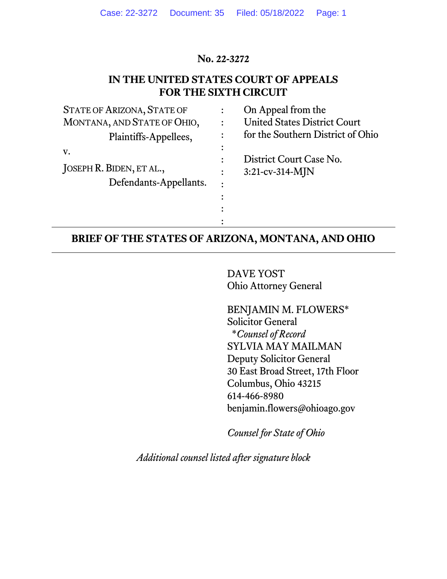### **No. 22-3272**

## **IN THE UNITED STATES COURT OF APPEALS FOR THE SIXTH CIRCUIT**

| <b>STATE OF ARIZONA, STATE OF</b> | On Appeal from the                  |
|-----------------------------------|-------------------------------------|
| MONTANA, AND STATE OF OHIO,       | <b>United States District Court</b> |
| Plaintiffs-Appellees,             | for the Southern District of Ohio   |
| V.                                |                                     |
|                                   | District Court Case No.             |
| JOSEPH R. BIDEN, ET AL.,          | $3:21$ -cv-314-MJN                  |
| Defendants-Appellants.            |                                     |
|                                   |                                     |
|                                   |                                     |
|                                   |                                     |

## **BRIEF OF THE STATES OF ARIZONA, MONTANA, AND OHIO**

:

DAVE YOST Ohio Attorney General

BENJAMIN M. FLOWERS\* Solicitor General \**Counsel of Record* SYLVIA MAY MAILMAN Deputy Solicitor General 30 East Broad Street, 17th Floor Columbus, Ohio 43215 614-466-8980 benjamin.flowers@ohioago.gov

*Counsel for State of Ohio*

*Additional counsel listed after signature block*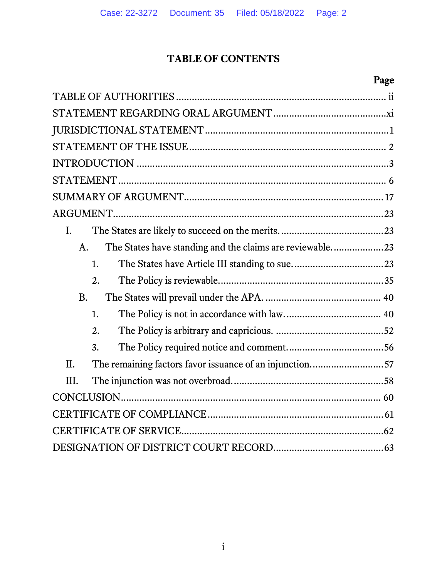## **TABLE OF CONTENTS**

# **Page**

| L.                                                                      |
|-------------------------------------------------------------------------|
| The States have standing and the claims are reviewable23<br>$A_{\cdot}$ |
| 1.                                                                      |
| $\overline{2}$ .                                                        |
| <b>B.</b>                                                               |
| 1.                                                                      |
| $\overline{2}$ .                                                        |
| $\overline{3}$ .                                                        |
| The remaining factors favor issuance of an injunction57<br>II.          |
| III.                                                                    |
|                                                                         |
|                                                                         |
|                                                                         |
|                                                                         |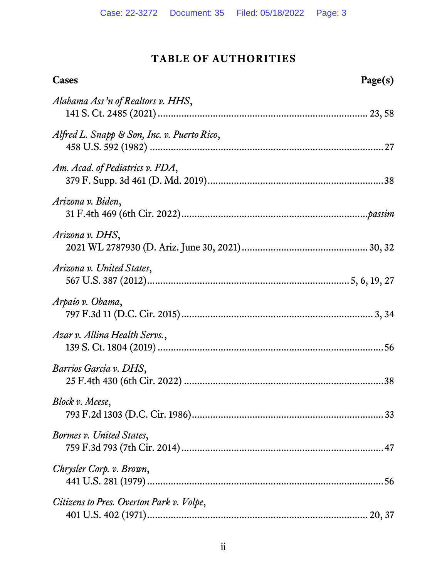## **TABLE OF AUTHORITIES**

<span id="page-2-0"></span>

| Cases                                       | Page(s) |
|---------------------------------------------|---------|
| Alabama Ass'n of Realtors v. HHS,           |         |
| Alfred L. Snapp & Son, Inc. v. Puerto Rico, |         |
| Am. Acad. of Pediatrics v. FDA,             |         |
| Arizona v. Biden,                           |         |
| Arizona v. DHS,                             |         |
| Arizona v. United States,                   |         |
| Arpaio v. Obama,                            |         |
| Azar v. Allina Health Servs.,               |         |
| Barrios Garcia v. DHS,                      |         |
| Block v. Meese,                             |         |
| Bormes v. United States,                    |         |
| Chrysler Corp. v. Brown,                    |         |
| Citizens to Pres. Overton Park v. Volpe,    |         |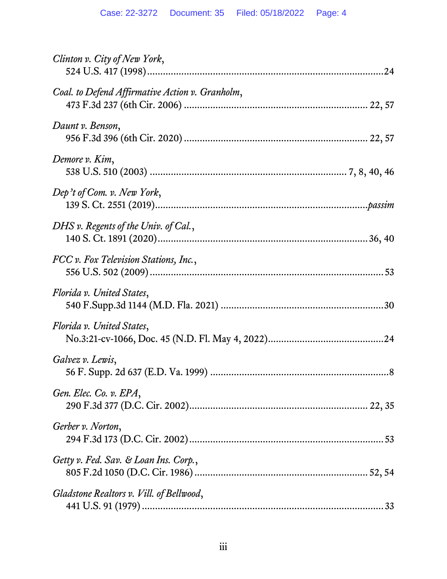| Clinton v. City of New York,                    |
|-------------------------------------------------|
| Coal. to Defend Affirmative Action v. Granholm, |
| Daunt v. Benson,                                |
| Demore v. Kim,                                  |
| Dep't of Com. v. New York,                      |
| DHS v. Regents of the Univ. of Cal.,            |
| FCC v. Fox Television Stations, Inc.,           |
| Florida v. United States,                       |
| Florida v. United States,                       |
| Galvez v. Lewis,                                |
| Gen. Elec. Co. v. EPA,                          |
| Gerber v. Norton,                               |
| Getty v. Fed. Sav. & Loan Ins. Corp.,           |
| Gladstone Realtors v. Vill. of Bellwood,        |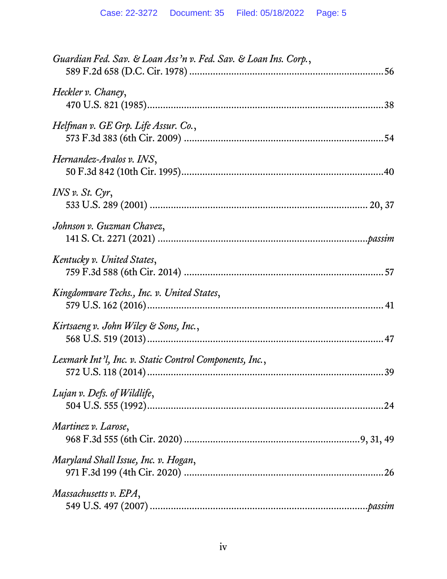| Guardian Fed. Sav. & Loan Ass'n v. Fed. Sav. & Loan Ins. Corp., |
|-----------------------------------------------------------------|
| Heckler v. Chaney,                                              |
| Helfman v. GE Grp. Life Assur. Co.,                             |
| Hernandez-Avalos v. INS,                                        |
| $INS \nu$ . St. Cyr,                                            |
| Johnson v. Guzman Chavez,                                       |
| Kentucky v. United States,                                      |
| Kingdomware Techs., Inc. v. United States,                      |
| Kirtsaeng v. John Wiley & Sons, Inc.,                           |
| Lexmark Int'l, Inc. v. Static Control Components, Inc.,         |
| Lujan v. Defs. of Wildlife,                                     |
| Martinez v. Larose,                                             |
| Maryland Shall Issue, Inc. v. Hogan,                            |
| Massachusetts v. EPA,                                           |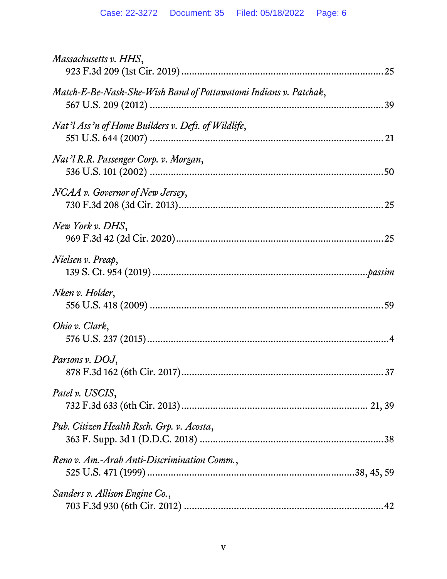| Massachusetts v. HHS,                                            |
|------------------------------------------------------------------|
| Match-E-Be-Nash-She-Wish Band of Pottawatomi Indians v. Patchak, |
| Nat'l Ass'n of Home Builders v. Defs. of Wildlife,               |
| Nat'l R.R. Passenger Corp. v. Morgan,                            |
| NCAA v. Governor of New Jersey,                                  |
| New York v. DHS,                                                 |
| Nielsen v. Preap,                                                |
| Nken v. Holder,                                                  |
| Ohio v. Clark,                                                   |
| Parsons v. DOJ,                                                  |
| Patel v. USCIS,                                                  |
| Pub. Citizen Health Rsch. Grp. v. Acosta,                        |
| Reno v. Am.-Arab Anti-Discrimination Comm.,                      |
| Sanders v. Allison Engine Co.,                                   |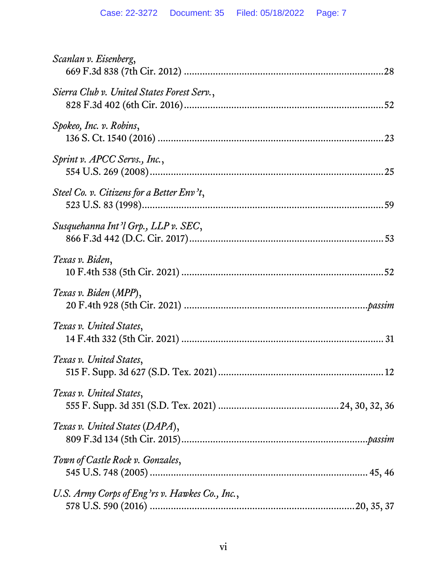| Scanlan v. Eisenberg,                          |
|------------------------------------------------|
| Sierra Club v. United States Forest Serv.,     |
| Spokeo, Inc. v. Robins,                        |
| Sprint v. APCC Servs., Inc.,                   |
| Steel Co. v. Citizens for a Better Env't,      |
| Susquehanna Int'l Grp., LLP v. SEC,            |
| Texas v. Biden,                                |
| Texas v. Biden (MPP),                          |
| Texas v. United States,                        |
| Texas v. United States,                        |
| Texas v. United States,                        |
| Texas v. United States (DAPA),                 |
| Town of Castle Rock v. Gonzales,               |
| U.S. Army Corps of Eng'rs v. Hawkes Co., Inc., |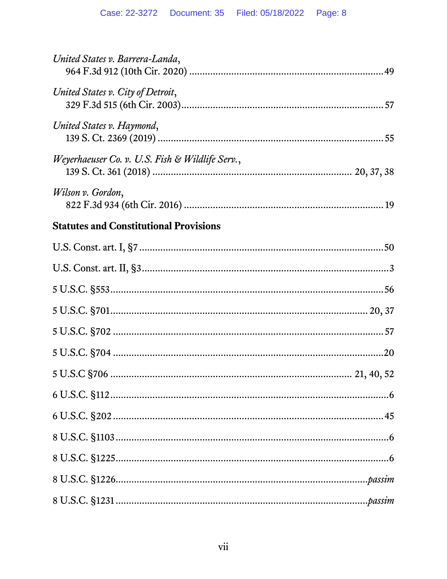| United States v. Barrera-Landa,                 |
|-------------------------------------------------|
| United States v. City of Detroit,               |
| United States v. Haymond,                       |
| Weyerhaeuser Co. v. U.S. Fish & Wildlife Serv., |
| Wilson v. Gordon,                               |
| <b>Statutes and Constitutional Provisions</b>   |
|                                                 |
|                                                 |
|                                                 |
|                                                 |
|                                                 |
|                                                 |
|                                                 |
|                                                 |
|                                                 |
|                                                 |
|                                                 |
|                                                 |
|                                                 |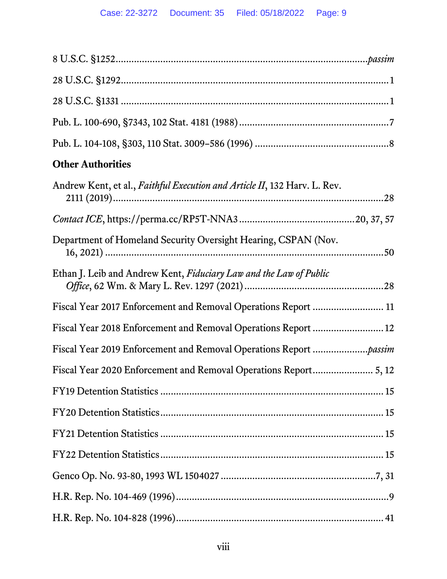| <b>Other Authorities</b>                                                  |
|---------------------------------------------------------------------------|
| Andrew Kent, et al., Faithful Execution and Article II, 132 Harv. L. Rev. |
|                                                                           |
| Department of Homeland Security Oversight Hearing, CSPAN (Nov.            |
| Ethan J. Leib and Andrew Kent, Fiduciary Law and the Law of Public        |
| Fiscal Year 2017 Enforcement and Removal Operations Report  11            |
|                                                                           |
|                                                                           |
|                                                                           |
|                                                                           |
|                                                                           |
|                                                                           |
|                                                                           |
|                                                                           |
|                                                                           |
|                                                                           |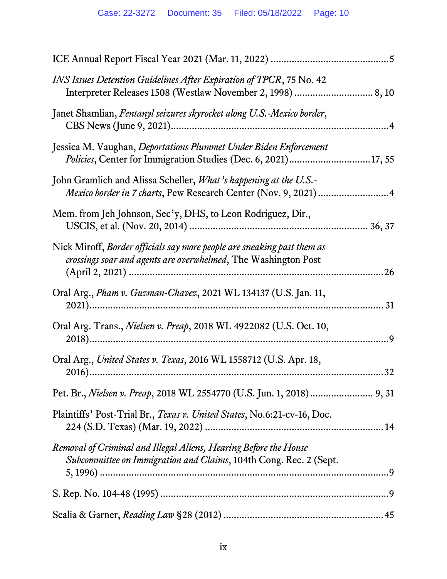| INS Issues Detention Guidelines After Expiration of TPCR, 75 No. 42                                                                             |
|-------------------------------------------------------------------------------------------------------------------------------------------------|
| Janet Shamlian, Fentanyl seizures skyrocket along U.S.-Mexico border,                                                                           |
| Jessica M. Vaughan, Deportations Plummet Under Biden Enforcement<br>Policies, Center for Immigration Studies (Dec. 6, 2021)17, 55               |
| John Gramlich and Alissa Scheller, <i>What's happening at the U.S.</i> -<br>Mexico border in 7 charts, Pew Research Center (Nov. 9, 2021) 4     |
| Mem. from Jeh Johnson, Sec'y, DHS, to Leon Rodriguez, Dir.,                                                                                     |
| Nick Miroff, Border officials say more people are sneaking past them as<br>crossings soar and agents are overwhelmed, The Washington Post<br>26 |
| Oral Arg., Pham v. Guzman-Chavez, 2021 WL 134137 (U.S. Jan. 11,<br>31                                                                           |
| Oral Arg. Trans., Nielsen v. Preap, 2018 WL 4922082 (U.S. Oct. 10,                                                                              |
| Oral Arg., United States v. Texas, 2016 WL 1558712 (U.S. Apr. 18,                                                                               |
|                                                                                                                                                 |
| Plaintiffs' Post-Trial Br., Texas v. United States, No.6:21-cv-16, Doc.                                                                         |
| Removal of Criminal and Illegal Aliens, Hearing Before the House<br>Subcommittee on Immigration and Claims, 104th Cong. Rec. 2 (Sept.           |
|                                                                                                                                                 |
|                                                                                                                                                 |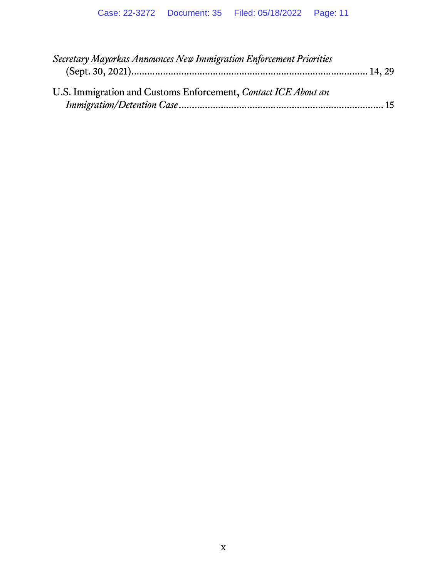| Secretary Mayorkas Announces New Immigration Enforcement Priorities |  |
|---------------------------------------------------------------------|--|
| U.S. Immigration and Customs Enforcement, Contact ICE About an      |  |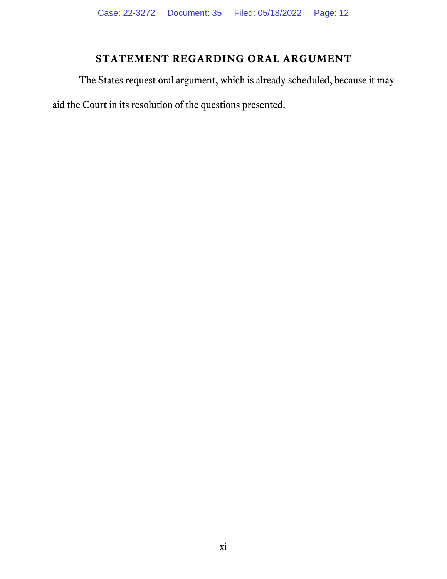# **STATEMENT REGARDING ORAL ARGUMENT**

<span id="page-11-0"></span>The States request oral argument, which is already scheduled, because it may aid the Court in its resolution of the questions presented.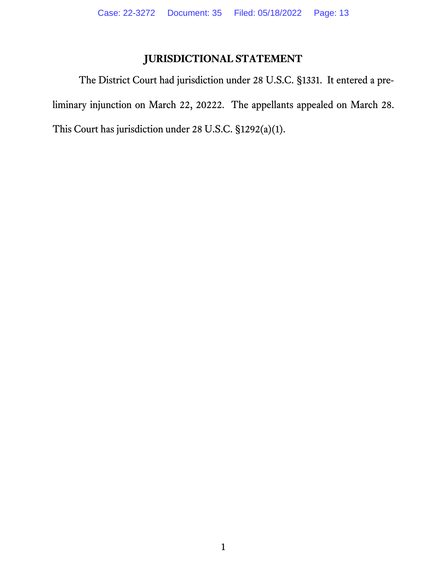## <span id="page-12-2"></span><span id="page-12-1"></span>**JURISDICTIONAL STATEMENT**

<span id="page-12-0"></span>The District Court had jurisdiction under 28 U.S.C. §1331. It entered a preliminary injunction on March 22, 20222. The appellants appealed on March 28. This Court has jurisdiction under 28 U.S.C. §1292(a)(1).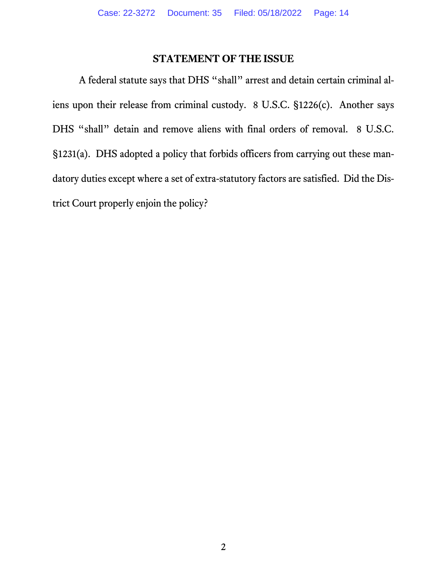## <span id="page-13-2"></span><span id="page-13-1"></span>**STATEMENT OF THE ISSUE**

<span id="page-13-0"></span>A federal statute says that DHS "shall" arrest and detain certain criminal aliens upon their release from criminal custody. 8 U.S.C. §1226(c). Another says DHS "shall" detain and remove aliens with final orders of removal. 8 U.S.C. §1231(a). DHS adopted a policy that forbids officers from carrying out these mandatory duties except where a set of extra-statutory factors are satisfied. Did the District Court properly enjoin the policy?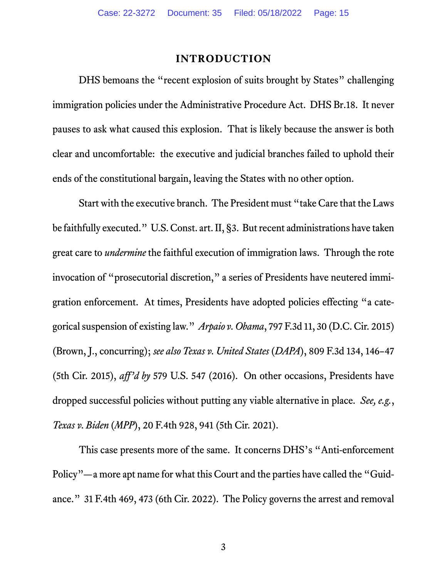#### **INTRODUCTION**

<span id="page-14-0"></span>DHS bemoans the "recent explosion of suits brought by States" challenging immigration policies under the Administrative Procedure Act. DHS Br.18. It never pauses to ask what caused this explosion. That is likely because the answer is both clear and uncomfortable: the executive and judicial branches failed to uphold their ends of the constitutional bargain, leaving the States with no other option.

<span id="page-14-5"></span><span id="page-14-2"></span>Start with the executive branch. The President must "take Care that the Laws be faithfully executed." U.S. Const. art. II, §3. But recent administrations have taken great care to *undermine* the faithful execution of immigration laws. Through the rote invocation of "prosecutorial discretion," a series of Presidents have neutered immigration enforcement. At times, Presidents have adopted policies effecting "a categorical suspension of existing law." *Arpaio v. Obama*, 797 F.3d 11, 30 (D.C. Cir. 2015) (Brown, J., concurring); *see also Texas v. United States* (*DAPA*), 809 F.3d 134, 146–47 (5th Cir. 2015), *aff'd by* 579 U.S. 547 (2016). On other occasions, Presidents have dropped successful policies without putting any viable alternative in place. *See, e.g.*, *Texas v. Biden* (*MPP*), 20 F.4th 928, 941 (5th Cir. 2021).

<span id="page-14-4"></span><span id="page-14-3"></span><span id="page-14-1"></span>This case presents more of the same. It concerns DHS's "Anti-enforcement Policy"—a more apt name for what this Court and the parties have called the "Guidance." 31 F.4th 469, 473 (6th Cir. 2022). The Policy governs the arrest and removal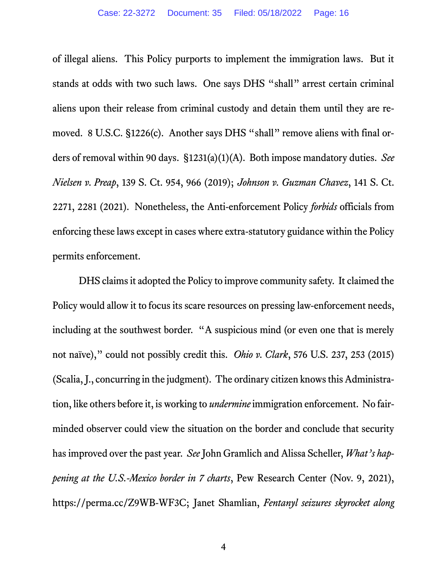of illegal aliens. This Policy purports to implement the immigration laws. But it stands at odds with two such laws. One says DHS "shall" arrest certain criminal aliens upon their release from criminal custody and detain them until they are removed. 8 U.S.C. §1226(c). Another says DHS "shall" remove aliens with final orders of removal within 90 days. §1231(a)(1)(A). Both impose mandatory duties. *See Nielsen v. Preap*, 139 S. Ct. 954, 966 (2019); *Johnson v. Guzman Chavez*, 141 S. Ct. 2271, 2281 (2021). Nonetheless, the Anti-enforcement Policy *forbids* officials from enforcing these laws except in cases where extra-statutory guidance within the Policy permits enforcement.

<span id="page-15-4"></span><span id="page-15-3"></span><span id="page-15-2"></span><span id="page-15-1"></span><span id="page-15-0"></span>DHS claims it adopted the Policy to improve community safety. It claimed the Policy would allow it to focus its scare resources on pressing law-enforcement needs, including at the southwest border. "A suspicious mind (or even one that is merely not naïve)," could not possibly credit this. *Ohio v. Clark*, 576 U.S. 237, 253 (2015) (Scalia, J., concurring in the judgment). The ordinary citizen knowsthis Administration, like others before it, is working to *undermine* immigration enforcement. No fairminded observer could view the situation on the border and conclude that security has improved over the past year. *See* John Gramlich and Alissa Scheller, *What's happening at the U.S.-Mexico border in 7 charts*, Pew Research Center (Nov. 9, 2021), https://perma.cc/Z9WB-WF3C; Janet Shamlian, *Fentanyl seizures skyrocket along*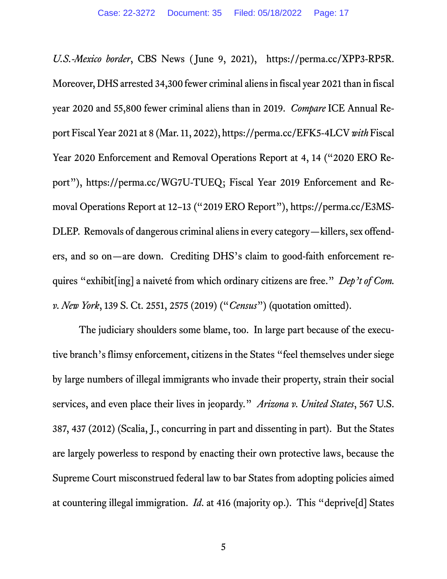<span id="page-16-4"></span><span id="page-16-3"></span><span id="page-16-2"></span>*U.S.-Mexico border*, CBS News ( June 9, 2021), https://perma.cc/XPP3-RP5R. Moreover, DHS arrested 34,300 fewer criminal aliens in fiscal year 2021 than in fiscal year 2020 and 55,800 fewer criminal aliens than in 2019. *Compare* ICE Annual Report Fiscal Year 2021 at 8 (Mar. 11, 2022), https://perma.cc/EFK5-4LCV*with* Fiscal Year 2020 Enforcement and Removal Operations Report at 4, 14 ("2020 ERO Report"), https://perma.cc/WG7U-TUEQ; Fiscal Year 2019 Enforcement and Removal Operations Report at 12–13 ("2019 ERO Report"), https://perma.cc/E3MS-DLEP. Removals of dangerous criminal aliens in every category—killers, sex offenders, and so on—are down. Crediting DHS's claim to good-faith enforcement requires "exhibit[ing] a naiveté from which ordinary citizens are free." *Dep't of Com. v. New York*, 139 S. Ct. 2551, 2575 (2019) ("*Census*") (quotation omitted).

<span id="page-16-1"></span><span id="page-16-0"></span>The judiciary shoulders some blame, too. In large part because of the executive branch's flimsy enforcement, citizens in the States "feel themselves under siege by large numbers of illegal immigrants who invade their property, strain their social services, and even place their lives in jeopardy." *Arizona v. United States*, 567 U.S. 387, 437 (2012) (Scalia, J., concurring in part and dissenting in part). But the States are largely powerless to respond by enacting their own protective laws, because the Supreme Court misconstrued federal law to bar States from adopting policies aimed at countering illegal immigration. *Id*. at 416 (majority op.). This "deprive[d] States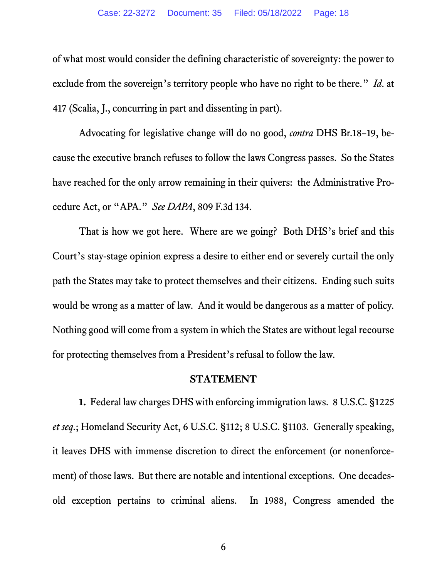<span id="page-17-1"></span>of what most would consider the defining characteristic of sovereignty: the power to exclude from the sovereign's territory people who have no right to be there." *Id*. at 417 (Scalia, J., concurring in part and dissenting in part).

Advocating for legislative change will do no good, *contra* DHS Br.18–19, because the executive branch refuses to follow the laws Congress passes. So the States have reached for the only arrow remaining in their quivers: the Administrative Procedure Act, or "APA." *See DAPA*, 809 F.3d 134.

That is how we got here. Where are we going? Both DHS's brief and this Court's stay-stage opinion express a desire to either end or severely curtail the only path the States may take to protect themselves and their citizens. Ending such suits would be wrong as a matter of law. And it would be dangerous as a matter of policy. Nothing good will come from a system in which the States are without legal recourse for protecting themselves from a President's refusal to follow the law.

#### <span id="page-17-4"></span><span id="page-17-3"></span>**STATEMENT**

<span id="page-17-2"></span><span id="page-17-0"></span>**1.** Federal law charges DHS with enforcing immigration laws. 8 U.S.C. §1225 *et seq*.; Homeland Security Act, 6 U.S.C. §112; 8 U.S.C. §1103. Generally speaking, it leaves DHS with immense discretion to direct the enforcement (or nonenforcement) of those laws. But there are notable and intentional exceptions. One decadesold exception pertains to criminal aliens. In 1988, Congress amended the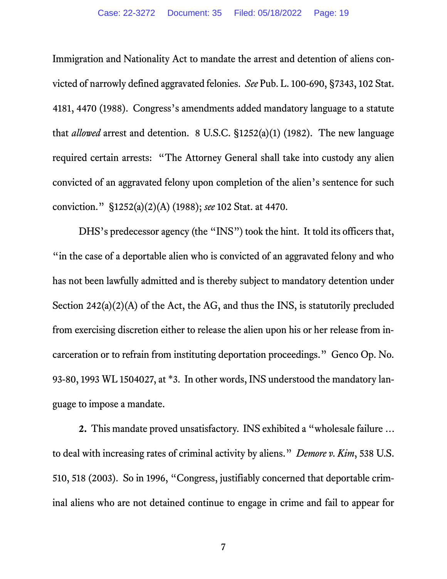<span id="page-18-2"></span><span id="page-18-1"></span>Immigration and Nationality Act to mandate the arrest and detention of aliens convicted of narrowly defined aggravated felonies. *See* Pub. L. 100-690, §7343, 102 Stat. 4181, 4470 (1988). Congress's amendments added mandatory language to a statute that *allowed* arrest and detention. 8 U.S.C. §1252(a)(1) (1982). The new language required certain arrests: "The Attorney General shall take into custody any alien convicted of an aggravated felony upon completion of the alien's sentence for such conviction." §1252(a)(2)(A) (1988); *see* 102 Stat. at 4470.

DHS's predecessor agency (the "INS") took the hint. It told its officers that, "in the case of a deportable alien who is convicted of an aggravated felony and who has not been lawfully admitted and is thereby subject to mandatory detention under Section 242(a)(2)(A) of the Act, the AG, and thus the INS, is statutorily precluded from exercising discretion either to release the alien upon his or her release from incarceration or to refrain from instituting deportation proceedings." Genco Op. No. 93-80, 1993 WL 1504027, at \*3. In other words, INS understood the mandatory language to impose a mandate.

**2.** This mandate proved unsatisfactory. INS exhibited a "wholesale failure … to deal with increasing rates of criminal activity by aliens." *Demore v. Kim*, 538 U.S. 510, 518 (2003). So in 1996, "Congress, justifiably concerned that deportable criminal aliens who are not detained continue to engage in crime and fail to appear for

<span id="page-18-3"></span><span id="page-18-0"></span>7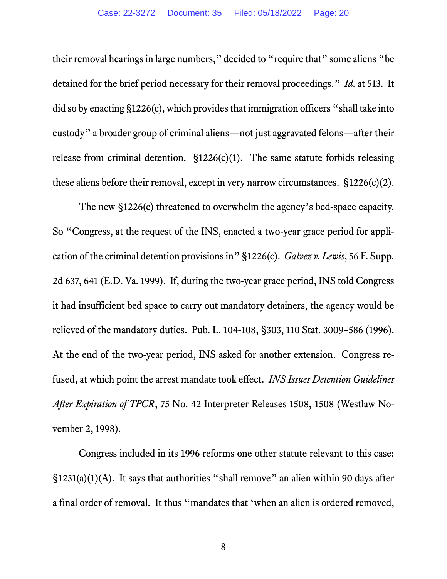<span id="page-19-0"></span>their removal hearings in large numbers," decided to "require that" some aliens "be detained for the brief period necessary for their removal proceedings." *Id*. at 513. It did so by enacting  $\S1226(c)$ , which provides that immigration officers "shall take into custody" a broader group of criminal aliens—not just aggravated felons—after their release from criminal detention. §1226(c)(1). The same statute forbids releasing these aliens before their removal, except in very narrow circumstances. §1226(c)(2).

<span id="page-19-2"></span><span id="page-19-1"></span>The new §1226(c) threatened to overwhelm the agency's bed-space capacity. So "Congress, at the request of the INS, enacted a two-year grace period for application of the criminal detention provisions in" §1226(c). *Galvez v. Lewis*, 56 F. Supp. 2d 637, 641 (E.D. Va. 1999). If, during the two-year grace period, INS told Congress it had insufficient bed space to carry out mandatory detainers, the agency would be relieved of the mandatory duties. Pub. L. 104-108, §303, 110 Stat. 3009–586 (1996). At the end of the two-year period, INS asked for another extension. Congress refused, at which point the arrest mandate took effect. *INS Issues Detention Guidelines After Expiration of TPCR*, 75 No. 42 Interpreter Releases 1508, 1508 (Westlaw November 2, 1998).

Congress included in its 1996 reforms one other statute relevant to this case: §1231(a)(1)(A). It says that authorities "shall remove" an alien within 90 days after a final order of removal. It thus "mandates that 'when an alien is ordered removed,

<span id="page-19-3"></span>8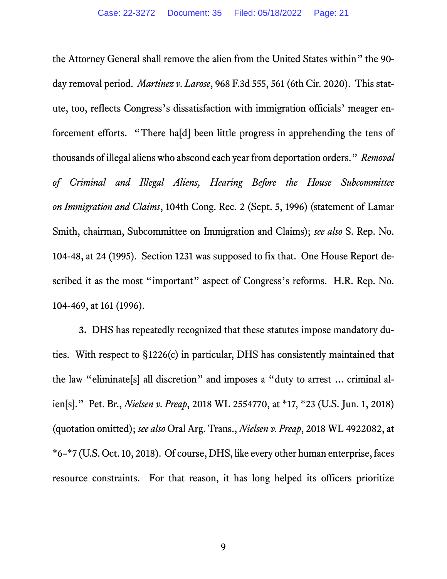<span id="page-20-4"></span><span id="page-20-0"></span>the Attorney General shall remove the alien from the United States within" the 90 day removal period. *Martinez v. Larose*, 968 F.3d 555, 561 (6th Cir. 2020). This statute, too, reflects Congress's dissatisfaction with immigration officials' meager enforcement efforts. "There ha[d] been little progress in apprehending the tens of thousands of illegal aliens who abscond each year from deportation orders." *Removal of Criminal and Illegal Aliens, Hearing Before the House Subcommittee on Immigration and Claims*, 104th Cong. Rec. 2 (Sept. 5, 1996) (statement of Lamar Smith, chairman, Subcommittee on Immigration and Claims); *see also* S. Rep. No. 104-48, at 24 (1995). Section 1231 was supposed to fix that. One House Report described it as the most "important" aspect of Congress's reforms. H.R. Rep. No. 104-469, at 161 (1996).

<span id="page-20-5"></span><span id="page-20-3"></span><span id="page-20-2"></span><span id="page-20-1"></span>**3.** DHS has repeatedly recognized that these statutes impose mandatory duties. With respect to §1226(c) in particular, DHS has consistently maintained that the law "eliminate[s] all discretion" and imposes a "duty to arrest … criminal alien[s]." Pet. Br., *Nielsen v. Preap*, 2018 WL 2554770, at \*17, \*23 (U.S. Jun. 1, 2018) (quotation omitted); *see also* Oral Arg. Trans., *Nielsen v. Preap*, 2018 WL 4922082, at \*6–\*7 (U.S. Oct. 10, 2018). Of course, DHS, like every other human enterprise, faces resource constraints. For that reason, it has long helped its officers prioritize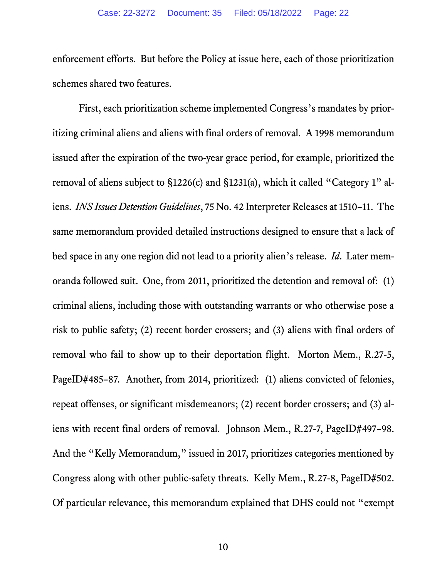enforcement efforts. But before the Policy at issue here, each of those prioritization schemes shared two features.

<span id="page-21-0"></span>First, each prioritization scheme implemented Congress's mandates by prioritizing criminal aliens and aliens with final orders of removal. A 1998 memorandum issued after the expiration of the two-year grace period, for example, prioritized the removal of aliens subject to §1226(c) and §1231(a), which it called "Category 1" aliens. *INS Issues Detention Guidelines*, 75 No. 42 Interpreter Releases at 1510–11. The same memorandum provided detailed instructions designed to ensure that a lack of bed space in any one region did not lead to a priority alien's release. *Id*. Later memoranda followed suit. One, from 2011, prioritized the detention and removal of: (1) criminal aliens, including those with outstanding warrants or who otherwise pose a risk to public safety; (2) recent border crossers; and (3) aliens with final orders of removal who fail to show up to their deportation flight. Morton Mem., R.27-5, PageID#485–87. Another, from 2014, prioritized: (1) aliens convicted of felonies, repeat offenses, or significant misdemeanors; (2) recent border crossers; and (3) aliens with recent final orders of removal. Johnson Mem., R.27-7, PageID#497–98. And the "Kelly Memorandum," issued in 2017, prioritizes categories mentioned by Congress along with other public-safety threats. Kelly Mem., R.27-8, PageID#502. Of particular relevance, this memorandum explained that DHS could not "exempt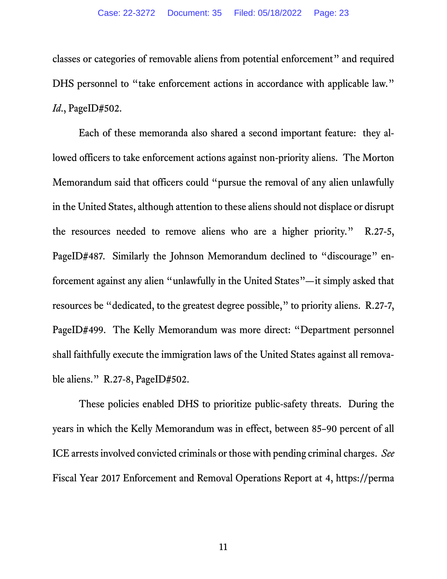classes or categories of removable aliens from potential enforcement" and required DHS personnel to "take enforcement actions in accordance with applicable law." *Id*., PageID#502.

Each of these memoranda also shared a second important feature: they allowed officers to take enforcement actions against non-priority aliens. The Morton Memorandum said that officers could "pursue the removal of any alien unlawfully in the United States, although attention to these aliens should not displace or disrupt the resources needed to remove aliens who are a higher priority." R.27-5, PageID#487. Similarly the Johnson Memorandum declined to "discourage" enforcement against any alien "unlawfully in the United States"—it simply asked that resources be "dedicated, to the greatest degree possible," to priority aliens. R.27-7, PageID#499. The Kelly Memorandum was more direct: "Department personnel shall faithfully execute the immigration laws of the United States against all removable aliens." R.27-8, PageID#502.

<span id="page-22-0"></span>These policies enabled DHS to prioritize public-safety threats. During the years in which the Kelly Memorandum was in effect, between 85–90 percent of all ICE arrests involved convicted criminals or those with pending criminal charges. *See*  Fiscal Year 2017 Enforcement and Removal Operations Report at 4, https://perma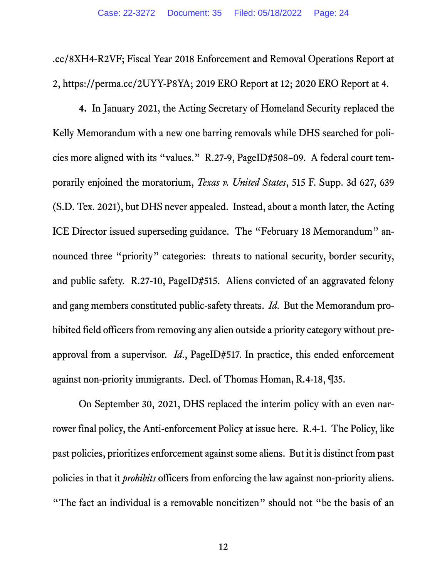<span id="page-23-2"></span><span id="page-23-1"></span>.cc/8XH4-R2VF; Fiscal Year 2018 Enforcement and Removal Operations Report at 2, https://perma.cc/2UYY-P8YA; 2019 ERO Report at 12; 2020 ERO Report at 4.

<span id="page-23-0"></span>**4.** In January 2021, the Acting Secretary of Homeland Security replaced the Kelly Memorandum with a new one barring removals while DHS searched for policies more aligned with its "values." R.27-9, PageID#508–09. A federal court temporarily enjoined the moratorium, *Texas v. United States*, 515 F. Supp. 3d 627, 639 (S.D. Tex. 2021), but DHS never appealed. Instead, about a month later, the Acting ICE Director issued superseding guidance. The "February 18 Memorandum" announced three "priority" categories: threats to national security, border security, and public safety. R.27-10, PageID#515. Aliens convicted of an aggravated felony and gang members constituted public-safety threats. *Id*. But the Memorandum prohibited field officers from removing any alien outside a priority category without preapproval from a supervisor. *Id*., PageID#517. In practice, this ended enforcement against non-priority immigrants. Decl. of Thomas Homan, R.4-18, ¶35.

On September 30, 2021, DHS replaced the interim policy with an even narrower final policy, the Anti-enforcement Policy at issue here. R.4-1. The Policy, like past policies, prioritizes enforcement against some aliens. But it is distinct from past policies in that it *prohibits* officers from enforcing the law against non-priority aliens. "The fact an individual is a removable noncitizen" should not "be the basis of an

12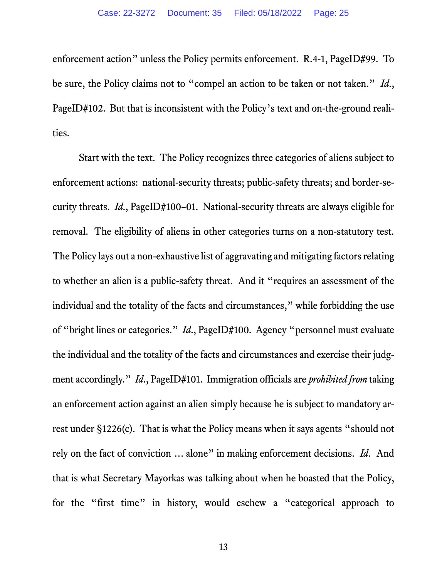enforcement action" unless the Policy permits enforcement. R.4-1, PageID#99. To be sure, the Policy claims not to "compel an action to be taken or not taken." *Id*., PageID#102. But that is inconsistent with the Policy's text and on-the-ground realities.

Start with the text. The Policy recognizes three categories of aliens subject to enforcement actions: national-security threats; public-safety threats; and border-security threats. *Id*., PageID#100–01. National-security threats are always eligible for removal. The eligibility of aliens in other categories turns on a non-statutory test. The Policy lays out a non-exhaustive list of aggravating and mitigating factors relating to whether an alien is a public-safety threat. And it "requires an assessment of the individual and the totality of the facts and circumstances," while forbidding the use of "bright lines or categories." *Id*., PageID#100. Agency "personnel must evaluate the individual and the totality of the facts and circumstances and exercise their judgment accordingly." *Id*., PageID#101. Immigration officials are *prohibited from* taking an enforcement action against an alien simply because he is subject to mandatory arrest under §1226(c). That is what the Policy means when it says agents "should not rely on the fact of conviction … alone" in making enforcement decisions. *Id.* And that is what Secretary Mayorkas was talking about when he boasted that the Policy, for the "first time" in history, would eschew a "categorical approach to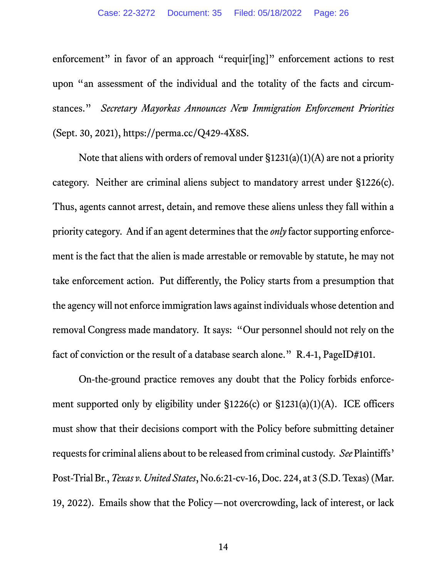<span id="page-25-1"></span>enforcement" in favor of an approach "requir[ing]" enforcement actions to rest upon "an assessment of the individual and the totality of the facts and circumstances." *Secretary Mayorkas Announces New Immigration Enforcement Priorities* (Sept. 30, 2021), https://perma.cc/Q429-4X8S.

Note that aliens with orders of removal under §1231(a)(1)(A) are not a priority category. Neither are criminal aliens subject to mandatory arrest under §1226(c). Thus, agents cannot arrest, detain, and remove these aliens unless they fall within a priority category. And if an agent determines that the *only* factor supporting enforcement is the fact that the alien is made arrestable or removable by statute, he may not take enforcement action. Put differently, the Policy starts from a presumption that the agency will not enforce immigration laws against individuals whose detention and removal Congress made mandatory. It says: "Our personnel should not rely on the fact of conviction or the result of a database search alone." R.4-1, PageID#101.

<span id="page-25-0"></span>On-the-ground practice removes any doubt that the Policy forbids enforcement supported only by eligibility under §1226(c) or §1231(a)(1)(A). ICE officers must show that their decisions comport with the Policy before submitting detainer requests for criminal aliens about to be released from criminal custody. *See* Plaintiffs' Post-Trial Br., *Texas v. United States*, No.6:21-cv-16, Doc. 224, at 3 (S.D. Texas)(Mar. 19, 2022). Emails show that the Policy—not overcrowding, lack of interest, or lack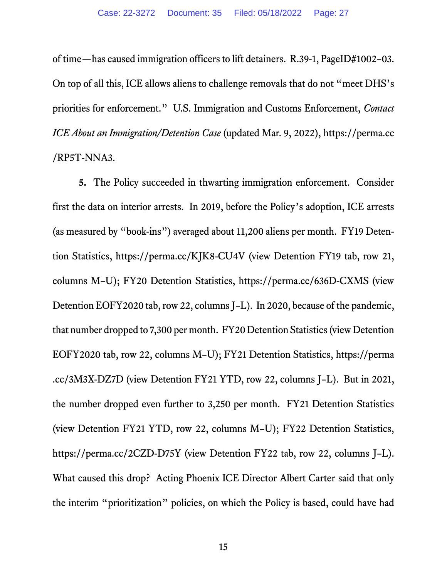<span id="page-26-4"></span>of time—has caused immigration officers to lift detainers. R.39-1, PageID#1002–03. On top of all this, ICE allows aliens to challenge removals that do not "meet DHS's priorities for enforcement." U.S. Immigration and Customs Enforcement, *Contact ICE About an Immigration/Detention Case* (updated Mar. 9, 2022), https://perma.cc /RP5T-NNA3.

<span id="page-26-3"></span><span id="page-26-2"></span><span id="page-26-1"></span><span id="page-26-0"></span>**5.** The Policy succeeded in thwarting immigration enforcement. Consider first the data on interior arrests. In 2019, before the Policy's adoption, ICE arrests (as measured by "book-ins") averaged about 11,200 aliens per month. FY19 Detention Statistics, https://perma.cc/KJK8-CU4V (view Detention FY19 tab, row 21, columns M–U); FY20 Detention Statistics, https://perma.cc/636D-CXMS (view Detention EOFY2020 tab, row 22, columns J–L). In 2020, because of the pandemic, that number dropped to 7,300 per month. FY20 Detention Statistics(view Detention EOFY2020 tab, row 22, columns M–U); FY21 Detention Statistics, https://perma .cc/3M3X-DZ7D (view Detention FY21 YTD, row 22, columns J–L). But in 2021, the number dropped even further to 3,250 per month. FY21 Detention Statistics (view Detention FY21 YTD, row 22, columns M–U); FY22 Detention Statistics, https://perma.cc/2CZD-D75Y (view Detention FY22 tab, row 22, columns J–L). What caused this drop? Acting Phoenix ICE Director Albert Carter said that only the interim "prioritization" policies, on which the Policy is based, could have had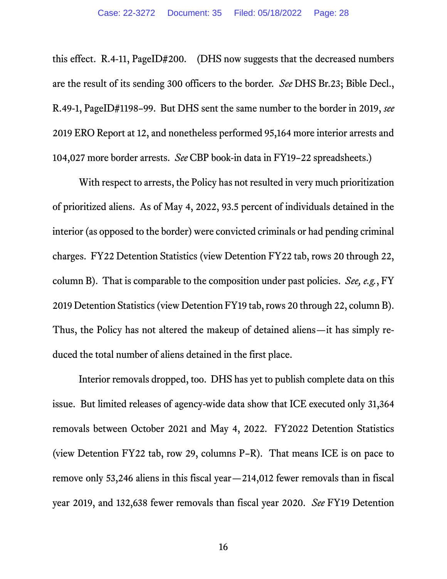this effect. R.4-11, PageID#200. (DHS now suggests that the decreased numbers are the result of its sending 300 officers to the border. *See* DHS Br.23; Bible Decl., R.49-1, PageID#1198–99. But DHS sent the same number to the border in 2019, *see*  2019 ERO Report at 12, and nonetheless performed 95,164 more interior arrests and 104,027 more border arrests. *See* CBP book-in data in FY19–22 spreadsheets.)

With respect to arrests, the Policy has not resulted in very much prioritization of prioritized aliens. As of May 4, 2022, 93.5 percent of individuals detained in the interior (as opposed to the border) were convicted criminals or had pending criminal charges. FY22 Detention Statistics (view Detention FY22 tab, rows 20 through 22, column B). That is comparable to the composition under past policies. *See, e.g.*, FY 2019 Detention Statistics(view Detention FY19 tab, rows 20 through 22, column B). Thus, the Policy has not altered the makeup of detained aliens—it has simply reduced the total number of aliens detained in the first place.

Interior removals dropped, too. DHS has yet to publish complete data on this issue. But limited releases of agency-wide data show that ICE executed only 31,364 removals between October 2021 and May 4, 2022. FY2022 Detention Statistics (view Detention FY22 tab, row 29, columns P–R). That means ICE is on pace to remove only 53,246 aliens in this fiscal year—214,012 fewer removals than in fiscal year 2019, and 132,638 fewer removals than fiscal year 2020. *See* FY19 Detention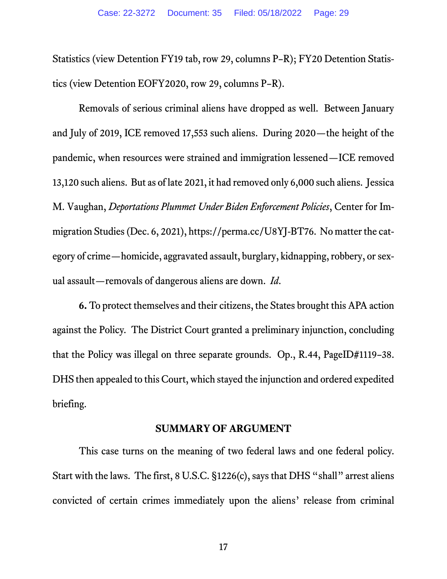Statistics (view Detention FY19 tab, row 29, columns P–R); FY20 Detention Statistics (view Detention EOFY2020, row 29, columns P–R).

<span id="page-28-1"></span>Removals of serious criminal aliens have dropped as well. Between January and July of 2019, ICE removed 17,553 such aliens. During 2020—the height of the pandemic, when resources were strained and immigration lessened—ICE removed 13,120 such aliens. But as of late 2021, it had removed only 6,000 such aliens. Jessica M. Vaughan, *Deportations Plummet Under Biden Enforcement Policies*, Center for Immigration Studies (Dec. 6, 2021), https://perma.cc/U8YJ-BT76. No matter the category of crime—homicide, aggravated assault, burglary, kidnapping, robbery, or sexual assault—removals of dangerous aliens are down. *Id*.

**6.** To protect themselves and their citizens, the States brought this APA action against the Policy. The District Court granted a preliminary injunction, concluding that the Policy was illegal on three separate grounds. Op., R.44, PageID#1119–38. DHS then appealed to this Court, which stayed the injunction and ordered expedited briefing.

### **SUMMARY OF ARGUMENT**

<span id="page-28-0"></span>This case turns on the meaning of two federal laws and one federal policy. Start with the laws. The first, 8 U.S.C. §1226(c), says that DHS "shall" arrest aliens convicted of certain crimes immediately upon the aliens' release from criminal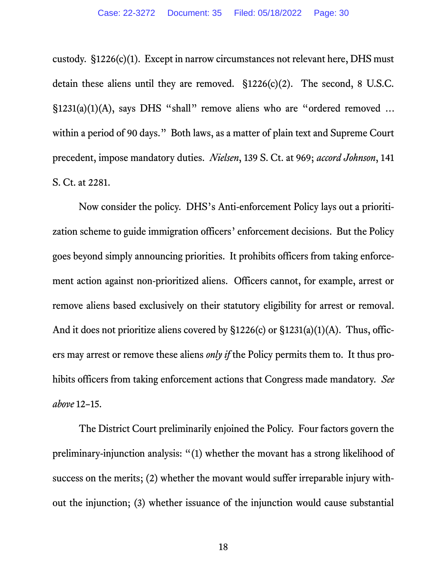custody. §1226(c)(1). Except in narrow circumstances not relevant here, DHS must detain these aliens until they are removed. §1226(c)(2). The second, 8 U.S.C. §1231(a)(1)(A), says DHS "shall" remove aliens who are "ordered removed ... within a period of 90 days." Both laws, as a matter of plain text and Supreme Court precedent, impose mandatory duties. *Nielsen*, 139 S. Ct. at 969; *accord Johnson*, 141 S. Ct. at 2281.

Now consider the policy. DHS's Anti-enforcement Policy lays out a prioritization scheme to guide immigration officers' enforcement decisions. But the Policy goes beyond simply announcing priorities. It prohibits officers from taking enforcement action against non-prioritized aliens. Officers cannot, for example, arrest or remove aliens based exclusively on their statutory eligibility for arrest or removal. And it does not prioritize aliens covered by §1226(c) or §1231(a)(1)(A). Thus, officers may arrest or remove these aliens *only if* the Policy permits them to. It thus prohibits officers from taking enforcement actions that Congress made mandatory. *See above* 12–15.

The District Court preliminarily enjoined the Policy. Four factors govern the preliminary-injunction analysis: "(1) whether the movant has a strong likelihood of success on the merits; (2) whether the movant would suffer irreparable injury without the injunction; (3) whether issuance of the injunction would cause substantial

18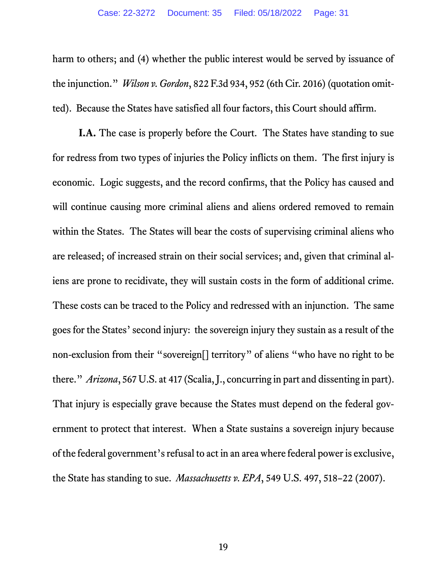<span id="page-30-2"></span>harm to others; and (4) whether the public interest would be served by issuance of the injunction." *Wilson v. Gordon*, 822 F.3d 934, 952 (6th Cir. 2016) (quotation omitted). Because the States have satisfied all four factors, this Court should affirm.

<span id="page-30-1"></span><span id="page-30-0"></span>**I.A.** The case is properly before the Court. The States have standing to sue for redress from two types of injuries the Policy inflicts on them. The first injury is economic. Logic suggests, and the record confirms, that the Policy has caused and will continue causing more criminal aliens and aliens ordered removed to remain within the States. The States will bear the costs of supervising criminal aliens who are released; of increased strain on their social services; and, given that criminal aliens are prone to recidivate, they will sustain costs in the form of additional crime. These costs can be traced to the Policy and redressed with an injunction. The same goes for the States' second injury: the sovereign injury they sustain as a result of the non-exclusion from their "sovereign[] territory" of aliens "who have no right to be there." *Arizona*, 567 U.S. at 417 (Scalia, J., concurring in part and dissenting in part). That injury is especially grave because the States must depend on the federal government to protect that interest. When a State sustains a sovereign injury because of the federal government's refusal to act in an area where federal power is exclusive, the State has standing to sue. *Massachusetts v. EPA*, 549 U.S. 497, 518–22 (2007).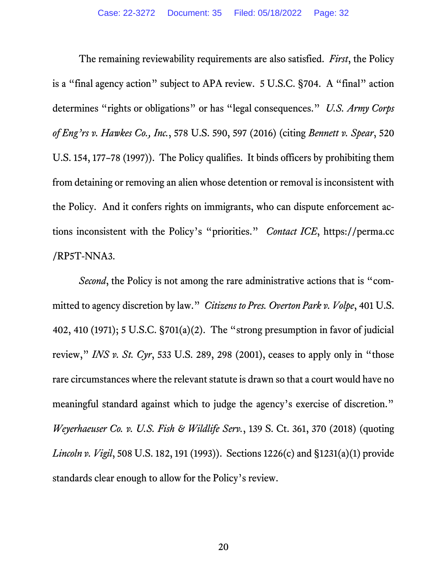<span id="page-31-5"></span><span id="page-31-2"></span>The remaining reviewability requirements are also satisfied. *First*, the Policy is a "final agency action" subject to APA review. 5 U.S.C. §704. A "final" action determines "rights or obligations" or has "legal consequences." *U.S. Army Corps of Eng'rs v. Hawkes Co., Inc.*, 578 U.S. 590, 597 (2016) (citing *Bennett v. Spear*, 520 U.S. 154, 177–78 (1997)). The Policy qualifies. It binds officers by prohibiting them from detaining or removing an alien whose detention or removal is inconsistent with the Policy. And it confers rights on immigrants, who can dispute enforcement actions inconsistent with the Policy's "priorities." *Contact ICE*, https://perma.cc /RP5T-NNA3.

<span id="page-31-6"></span><span id="page-31-4"></span><span id="page-31-3"></span><span id="page-31-1"></span><span id="page-31-0"></span>*Second*, the Policy is not among the rare administrative actions that is "committed to agency discretion by law." *Citizens to Pres. Overton Park v. Volpe*, 401 U.S. 402, 410 (1971); 5 U.S.C. §701(a)(2). The "strong presumption in favor of judicial review," *INS v. St. Cyr*, 533 U.S. 289, 298 (2001), ceases to apply only in "those rare circumstances where the relevant statute is drawn so that a court would have no meaningful standard against which to judge the agency's exercise of discretion." *Weyerhaeuser Co. v. U.S. Fish & Wildlife Serv.*, 139 S. Ct. 361, 370 (2018) (quoting *Lincoln v. Vigil*, 508 U.S. 182, 191 (1993)). Sections 1226(c) and §1231(a)(1) provide standards clear enough to allow for the Policy's review.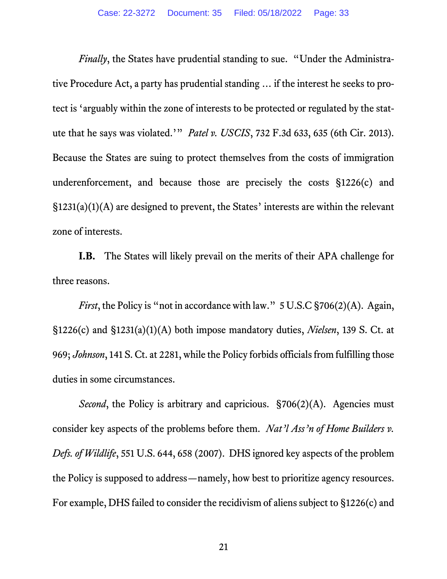<span id="page-32-1"></span>*Finally*, the States have prudential standing to sue. "Under the Administrative Procedure Act, a party has prudential standing … if the interest he seeks to protect is 'arguably within the zone of interests to be protected or regulated by the statute that he says was violated.'" *Patel v. USCIS*, 732 F.3d 633, 635 (6th Cir. 2013). Because the States are suing to protect themselves from the costs of immigration underenforcement, and because those are precisely the costs §1226(c) and §1231(a)(1)(A) are designed to prevent, the States' interests are within the relevant zone of interests.

**I.B.** The States will likely prevail on the merits of their APA challenge for three reasons.

<span id="page-32-2"></span>*First*, the Policy is "not in accordance with law." 5 U.S.C §706(2)(A). Again, §1226(c) and §1231(a)(1)(A) both impose mandatory duties, *Nielsen*, 139 S. Ct. at 969; *Johnson*, 141 S. Ct. at 2281, while the Policy forbids officials from fulfilling those duties in some circumstances.

*Second*, the Policy is arbitrary and capricious. §706(2)(A). Agencies must consider key aspects of the problems before them. *Nat'l Ass'n of Home Builders v. Defs. of Wildlife*, 551 U.S. 644, 658 (2007). DHS ignored key aspects of the problem the Policy is supposed to address—namely, how best to prioritize agency resources. For example, DHS failed to consider the recidivism of aliens subject to §1226(c) and

<span id="page-32-0"></span>21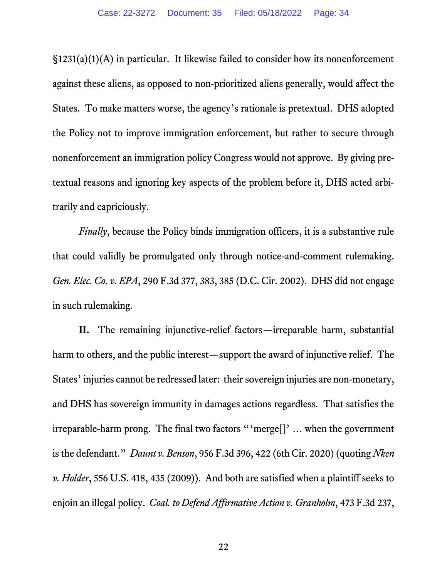§1231(a)(1)(A) in particular. It likewise failed to consider how its nonenforcement against these aliens, as opposed to non-prioritized aliens generally, would affect the States. To make matters worse, the agency's rationale is pretextual. DHS adopted the Policy not to improve immigration enforcement, but rather to secure through nonenforcement an immigration policy Congress would not approve. By giving pretextual reasons and ignoring key aspects of the problem before it, DHS acted arbitrarily and capriciously.

<span id="page-33-2"></span>*Finally*, because the Policy binds immigration officers, it is a substantive rule that could validly be promulgated only through notice-and-comment rulemaking. *Gen. Elec. Co. v. EPA*, 290 F.3d 377, 383, 385 (D.C. Cir. 2002). DHS did not engage in such rulemaking.

<span id="page-33-1"></span><span id="page-33-0"></span>**II.** The remaining injunctive-relief factors—irreparable harm, substantial harm to others, and the public interest—support the award of injunctive relief. The States' injuries cannot be redressed later: their sovereign injuries are non-monetary, and DHS has sovereign immunity in damages actions regardless. That satisfies the irreparable-harm prong. The final two factors "'merge[]' … when the government is the defendant." *Daunt v. Benson*, 956 F.3d 396, 422 (6th Cir. 2020) (quoting *Nken v. Holder*, 556 U.S. 418, 435 (2009)). And both are satisfied when a plaintiff seeks to enjoin an illegal policy. *Coal. to Defend Affirmative Action v. Granholm*, 473 F.3d 237,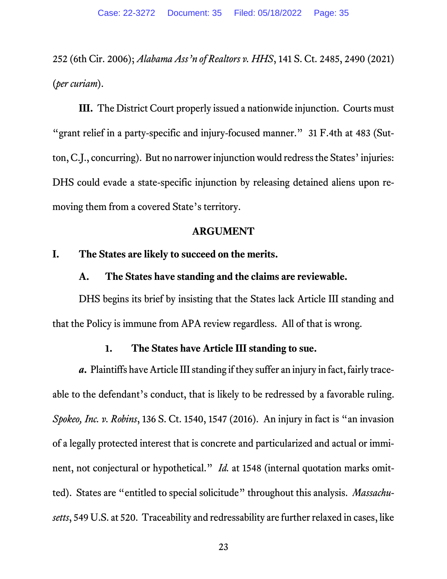<span id="page-34-4"></span>252 (6th Cir. 2006); *Alabama Ass'n of Realtors v. HHS*, 141 S. Ct. 2485, 2490 (2021) (*per curiam*).

**III.** The District Court properly issued a nationwide injunction. Courts must "grant relief in a party-specific and injury-focused manner." 31 F.4th at 483 (Sutton, C.J., concurring). But no narrower injunction would redress the States' injuries: DHS could evade a state-specific injunction by releasing detained aliens upon removing them from a covered State's territory.

#### **ARGUMENT**

## <span id="page-34-2"></span><span id="page-34-1"></span><span id="page-34-0"></span>**I. The States are likely to succeed on the merits.**

### **A. The States have standing and the claims are reviewable.**

DHS begins its brief by insisting that the States lack Article III standing and that the Policy is immune from APA review regardless. All of that is wrong.

### **1. The States have Article III standing to sue.**

<span id="page-34-5"></span><span id="page-34-3"></span>*a***.** Plaintiffs have Article III standing if they suffer an injury in fact, fairly traceable to the defendant's conduct, that is likely to be redressed by a favorable ruling. *Spokeo, Inc. v. Robins*, 136 S. Ct. 1540, 1547 (2016). An injury in fact is "an invasion of a legally protected interest that is concrete and particularized and actual or imminent, not conjectural or hypothetical." *Id.* at 1548 (internal quotation marks omitted). States are "entitled to special solicitude" throughout this analysis. *Massachusetts*, 549 U.S. at 520. Traceability and redressability are further relaxed in cases, like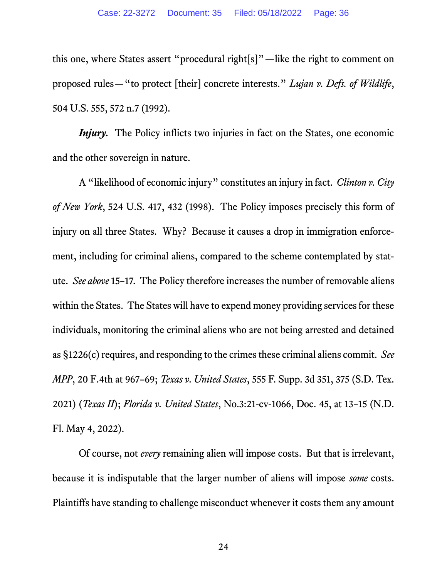<span id="page-35-2"></span>this one, where States assert "procedural right[s]"—like the right to comment on proposed rules—"to protect [their] concrete interests." *Lujan v. Defs. of Wildlife*, 504 U.S. 555, 572 n.7 (1992).

*Injury*. The Policy inflicts two injuries in fact on the States, one economic and the other sovereign in nature.

<span id="page-35-0"></span>A "likelihood of economic injury" constitutes an injury in fact. *Clinton v. City of New York*, 524 U.S. 417, 432 (1998). The Policy imposes precisely this form of injury on all three States. Why? Because it causes a drop in immigration enforcement, including for criminal aliens, compared to the scheme contemplated by statute. *See above* 15–17. The Policy therefore increases the number of removable aliens within the States. The States will have to expend money providing services for these individuals, monitoring the criminal aliens who are not being arrested and detained as §1226(c) requires, and responding to the crimes these criminal aliens commit. See *MPP*, 20 F.4th at 967–69; *Texas v. United States*, 555 F. Supp. 3d 351, 375 (S.D. Tex. 2021) (*Texas II*); *Florida v. United States*, No.3:21-cv-1066, Doc. 45, at 13–15 (N.D. Fl. May 4, 2022).

<span id="page-35-3"></span><span id="page-35-1"></span>Of course, not *every* remaining alien will impose costs. But that is irrelevant, because it is indisputable that the larger number of aliens will impose *some* costs. Plaintiffs have standing to challenge misconduct whenever it costs them any amount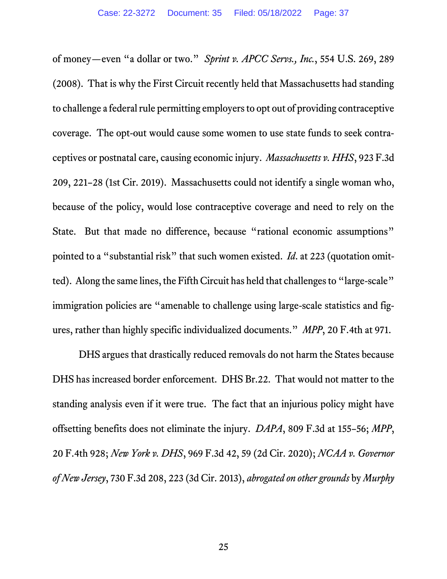of money—even "a dollar or two." *Sprint v. APCC Servs., Inc.*, 554 U.S. 269, 289 (2008). That is why the First Circuit recently held that Massachusetts had standing to challenge a federal rule permitting employers to opt out of providing contraceptive coverage. The opt-out would cause some women to use state funds to seek contraceptives or postnatal care, causing economic injury. *Massachusetts v. HHS*, 923 F.3d 209, 221–28 (1st Cir. 2019). Massachusetts could not identify a single woman who, because of the policy, would lose contraceptive coverage and need to rely on the State. But that made no difference, because "rational economic assumptions" pointed to a "substantial risk" that such women existed. *Id*. at 223 (quotation omitted). Along the same lines, the Fifth Circuit has held that challenges to "large-scale" immigration policies are "amenable to challenge using large-scale statistics and figures, rather than highly specific individualized documents." *MPP*, 20 F.4th at 971.

DHS argues that drastically reduced removals do not harm the States because DHS has increased border enforcement. DHS Br.22. That would not matter to the standing analysis even if it were true. The fact that an injurious policy might have offsetting benefits does not eliminate the injury. *DAPA*, 809 F.3d at 155–56; *MPP*, 20 F.4th 928; *New York v. DHS*, 969 F.3d 42, 59 (2d Cir. 2020); *NCAA v. Governor of New Jersey*, 730 F.3d 208, 223 (3d Cir. 2013), *abrogated on other grounds* by *Murphy*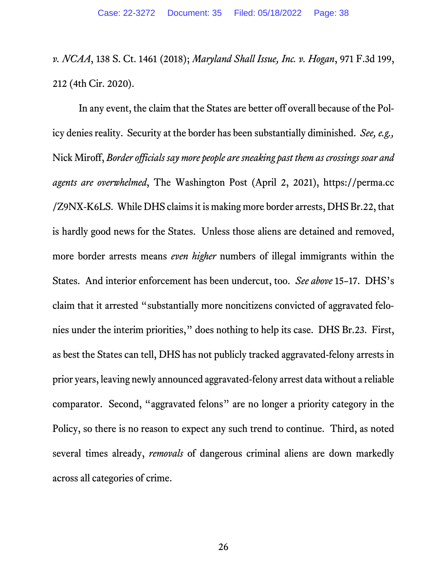*v. NCAA*, 138 S. Ct. 1461 (2018); *Maryland Shall Issue, Inc. v. Hogan*, 971 F.3d 199, 212 (4th Cir. 2020).

In any event, the claim that the States are better off overall because of the Policy denies reality. Security at the border has been substantially diminished. *See, e.g.,* Nick Miroff, *Border officials say more people are sneaking past them as crossings soar and agents are overwhelmed*, The Washington Post (April 2, 2021), https://perma.cc /Z9NX-K6LS. While DHS claims it is making more border arrests, DHS Br.22, that is hardly good news for the States. Unless those aliens are detained and removed, more border arrests means *even higher* numbers of illegal immigrants within the States. And interior enforcement has been undercut, too. *See above* 15–17. DHS's claim that it arrested "substantially more noncitizens convicted of aggravated felonies under the interim priorities, " does nothing to help its case. DHS Br.23. First, as best the States can tell, DHS has not publicly tracked aggravated-felony arrests in prior years, leaving newly announced aggravated-felony arrest data without a reliable comparator. Second, "aggravated felons" are no longer a priority category in the Policy, so there is no reason to expect any such trend to continue. Third, as noted several times already, *removals* of dangerous criminal aliens are down markedly across all categories of crime.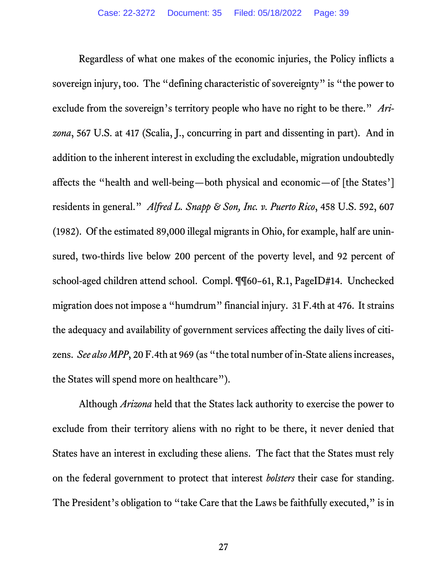Regardless of what one makes of the economic injuries, the Policy inflicts a sovereign injury, too. The "defining characteristic of sovereignty" is "the power to exclude from the sovereign's territory people who have no right to be there." *Arizona*, 567 U.S. at 417 (Scalia, J., concurring in part and dissenting in part). And in addition to the inherent interest in excluding the excludable, migration undoubtedly affects the "health and well-being—both physical and economic—of [the States'] residents in general." *Alfred L. Snapp & Son, Inc. v. Puerto Rico*, 458 U.S. 592, 607 (1982). Of the estimated 89,000 illegal migrants in Ohio, for example, half are uninsured, two-thirds live below 200 percent of the poverty level, and 92 percent of school-aged children attend school. Compl. ¶¶60–61, R.1, PageID#14. Unchecked migration does not impose a "humdrum" financial injury. 31 F.4th at 476. It strains the adequacy and availability of government services affecting the daily lives of citizens. *See also MPP*, 20 F.4th at 969 (as "the total number of in-State aliens increases, the States will spend more on healthcare").

Although *Arizona* held that the States lack authority to exercise the power to exclude from their territory aliens with no right to be there, it never denied that States have an interest in excluding these aliens. The fact that the States must rely on the federal government to protect that interest *bolsters* their case for standing. The President's obligation to "take Care that the Laws be faithfully executed," is in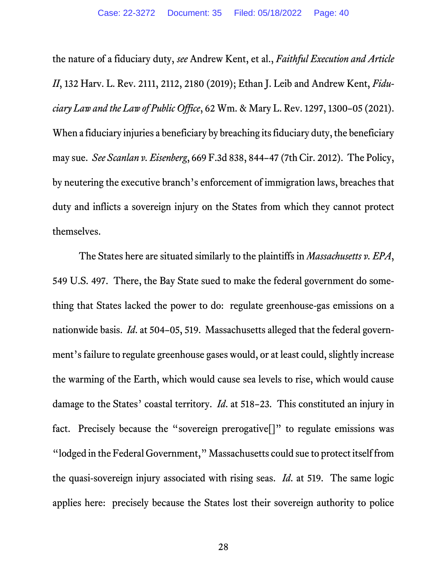the nature of a fiduciary duty, *see* Andrew Kent, et al., *Faithful Execution and Article II*, 132 Harv. L. Rev. 2111, 2112, 2180 (2019); Ethan J. Leib and Andrew Kent, *Fiduciary Law and the Law of Public Office*, 62 Wm. & Mary L. Rev. 1297, 1300–05 (2021). When a fiduciary injuries a beneficiary by breaching its fiduciary duty, the beneficiary may sue. *See Scanlan v. Eisenberg*, 669 F.3d 838, 844–47 (7th Cir. 2012). The Policy, by neutering the executive branch's enforcement of immigration laws, breaches that duty and inflicts a sovereign injury on the States from which they cannot protect themselves.

The States here are situated similarly to the plaintiffs in *Massachusetts v. EPA*, 549 U.S. 497. There, the Bay State sued to make the federal government do something that States lacked the power to do: regulate greenhouse-gas emissions on a nationwide basis. *Id*. at 504–05, 519. Massachusetts alleged that the federal government's failure to regulate greenhouse gases would, or at least could, slightly increase the warming of the Earth, which would cause sea levels to rise, which would cause damage to the States' coastal territory. *Id*. at 518–23. This constituted an injury in fact. Precisely because the "sovereign prerogative<sup>[]"</sup> to regulate emissions was "lodged in the Federal Government," Massachusetts could sue to protect itself from the quasi-sovereign injury associated with rising seas. *Id*. at 519. The same logic applies here: precisely because the States lost their sovereign authority to police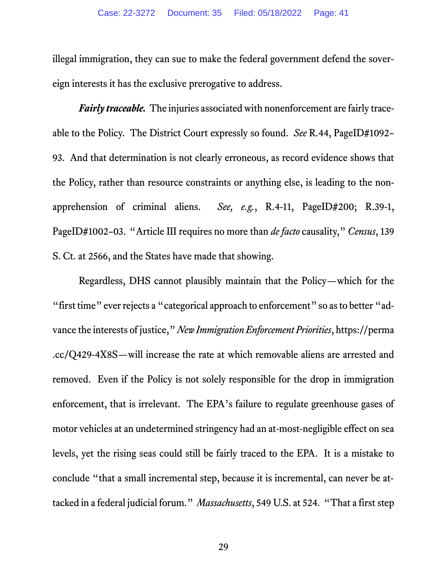illegal immigration, they can sue to make the federal government defend the sovereign interests it has the exclusive prerogative to address.

*Fairly traceable.* The injuries associated with nonenforcement are fairly traceable to the Policy. The District Court expressly so found. *See* R.44, PageID#1092– 93. And that determination is not clearly erroneous, as record evidence shows that the Policy, rather than resource constraints or anything else, is leading to the nonapprehension of criminal aliens. *See, e.g.*, R.4-11, PageID#200; R.39-1, PageID#1002–03. "Article III requires no more than *de facto* causality," *Census*, 139 S. Ct. at 2566, and the States have made that showing.

Regardless, DHS cannot plausibly maintain that the Policy—which for the "first time" ever rejects a "categorical approach to enforcement" so as to better "advance the interests of justice," *New Immigration Enforcement Priorities*, https://perma .cc/Q429-4X8S—will increase the rate at which removable aliens are arrested and removed. Even if the Policy is not solely responsible for the drop in immigration enforcement, that is irrelevant. The EPA's failure to regulate greenhouse gases of motor vehicles at an undetermined stringency had an at-most-negligible effect on sea levels, yet the rising seas could still be fairly traced to the EPA. It is a mistake to conclude "that a small incremental step, because it is incremental, can never be attacked in a federal judicial forum." *Massachusetts*, 549 U.S. at 524. "That a first step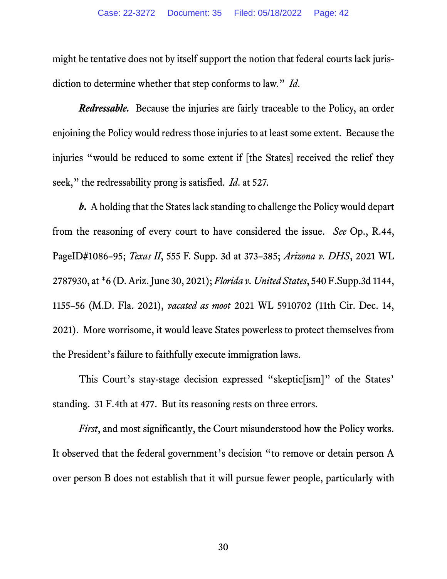might be tentative does not by itself support the notion that federal courts lack jurisdiction to determine whether that step conforms to law." *Id*.

*Redressable.* Because the injuries are fairly traceable to the Policy, an order enjoining the Policy would redress those injuries to at least some extent. Because the injuries "would be reduced to some extent if [the States] received the relief they seek," the redressability prong is satisfied. *Id*. at 527.

*b***.** A holding that the States lack standing to challenge the Policy would depart from the reasoning of every court to have considered the issue. *See* Op., R.44, PageID#1086–95; *Texas II*, 555 F. Supp. 3d at 373–385; *Arizona v. DHS*, 2021 WL 2787930, at \*6 (D. Ariz. June 30, 2021); *Florida v. United States*, 540 F.Supp.3d 1144, 1155–56 (M.D. Fla. 2021), *vacated as moot* 2021 WL 5910702 (11th Cir. Dec. 14, 2021). More worrisome, it would leave States powerless to protect themselves from the President's failure to faithfully execute immigration laws.

This Court's stay-stage decision expressed "skeptic[ism]" of the States' standing. 31 F.4th at 477. But its reasoning rests on three errors.

*First*, and most significantly, the Court misunderstood how the Policy works. It observed that the federal government's decision "to remove or detain person A over person B does not establish that it will pursue fewer people, particularly with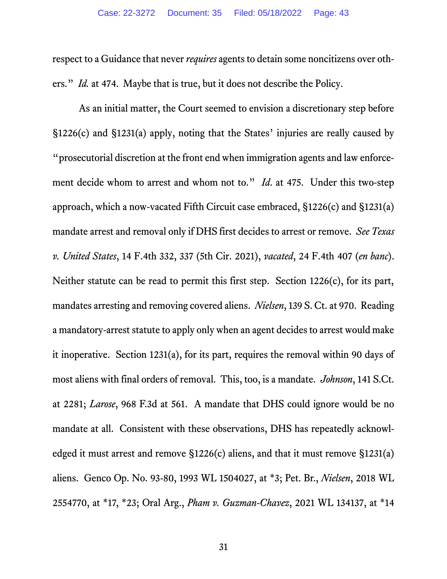respect to a Guidance that never *requires* agents to detain some noncitizens over others." *Id.* at 474. Maybe that is true, but it does not describe the Policy.

As an initial matter, the Court seemed to envision a discretionary step before §1226(c) and §1231(a) apply, noting that the States' injuries are really caused by "prosecutorial discretion at the front end when immigration agents and law enforcement decide whom to arrest and whom not to." *Id*. at 475. Under this two-step approach, which a now-vacated Fifth Circuit case embraced, §1226(c) and §1231(a) mandate arrest and removal only if DHS first decides to arrest or remove. *See Texas v. United States*, 14 F.4th 332, 337 (5th Cir. 2021), *vacated*, 24 F.4th 407 (*en banc*). Neither statute can be read to permit this first step. Section 1226(c), for its part, mandates arresting and removing covered aliens. *Nielsen*, 139 S. Ct. at 970. Reading a mandatory-arrest statute to apply only when an agent decides to arrest would make it inoperative. Section 1231(a), for its part, requires the removal within 90 days of most aliens with final orders of removal. This, too, is a mandate. *Johnson*, 141 S.Ct. at 2281; *Larose*, 968 F.3d at 561. A mandate that DHS could ignore would be no mandate at all. Consistent with these observations, DHS has repeatedly acknowledged it must arrest and remove §1226(c) aliens, and that it must remove §1231(a) aliens. Genco Op. No. 93-80, 1993 WL 1504027, at \*3; Pet. Br., *Nielsen*, 2018 WL 2554770, at \*17, \*23; Oral Arg., *Pham v. Guzman-Chavez*, 2021 WL 134137, at \*14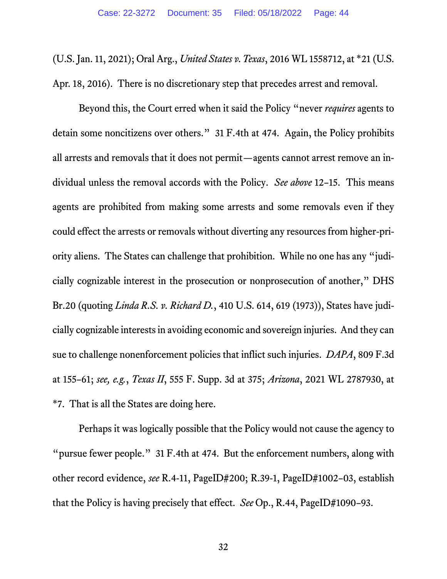(U.S. Jan. 11, 2021); Oral Arg., *United States v. Texas*, 2016 WL 1558712, at \*21 (U.S. Apr. 18, 2016). There is no discretionary step that precedes arrest and removal.

Beyond this, the Court erred when it said the Policy "never *requires* agents to detain some noncitizens over others." 31 F.4th at 474. Again, the Policy prohibits all arrests and removals that it does not permit—agents cannot arrest remove an individual unless the removal accords with the Policy. *See above* 12–15. This means agents are prohibited from making some arrests and some removals even if they could effect the arrests or removals without diverting any resources from higher-priority aliens. The States can challenge that prohibition. While no one has any "judicially cognizable interest in the prosecution or nonprosecution of another," DHS Br.20 (quoting *Linda R.S. v. Richard D.*, 410 U.S. 614, 619 (1973)), States have judicially cognizable interests in avoiding economic and sovereign injuries. And they can sue to challenge nonenforcement policies that inflict such injuries. *DAPA*, 809 F.3d at 155–61; *see, e.g.*, *Texas II*, 555 F. Supp. 3d at 375; *Arizona*, 2021 WL 2787930, at \*7. That is all the States are doing here.

Perhaps it was logically possible that the Policy would not cause the agency to "pursue fewer people." 31 F.4th at 474. But the enforcement numbers, along with other record evidence, *see* R.4-11, PageID#200; R.39-1, PageID#1002–03, establish that the Policy is having precisely that effect. *See* Op., R.44, PageID#1090–93.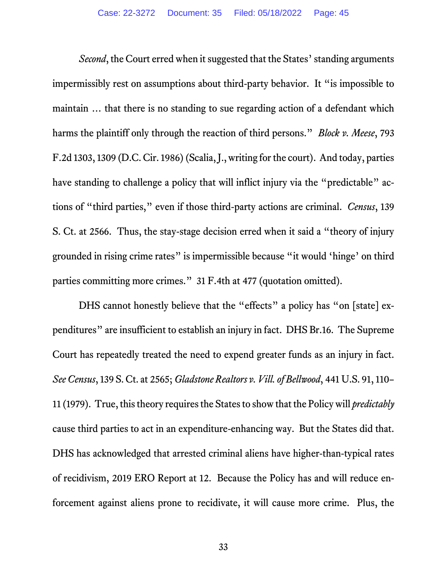*Second*, the Court erred when it suggested that the States' standing arguments impermissibly rest on assumptions about third-party behavior. It "is impossible to maintain … that there is no standing to sue regarding action of a defendant which harms the plaintiff only through the reaction of third persons." *Block v. Meese*, 793 F.2d 1303, 1309 (D.C. Cir. 1986) (Scalia, J., writing for the court). And today, parties have standing to challenge a policy that will inflict injury via the "predictable" actions of "third parties," even if those third-party actions are criminal. *Census*, 139 S. Ct. at 2566. Thus, the stay-stage decision erred when it said a "theory of injury grounded in rising crime rates" is impermissible because "it would 'hinge' on third parties committing more crimes." 31 F.4th at 477 (quotation omitted).

DHS cannot honestly believe that the "effects" a policy has "on [state] expenditures" are insufficient to establish an injury in fact. DHS Br.16. The Supreme Court has repeatedly treated the need to expend greater funds as an injury in fact. *See Census*, 139 S. Ct. at 2565; *Gladstone Realtors v. Vill. of Bellwood*, 441 U.S. 91, 110– 11 (1979). True, this theory requires the States to show that the Policy will *predictably*  cause third parties to act in an expenditure-enhancing way. But the States did that. DHS has acknowledged that arrested criminal aliens have higher-than-typical rates of recidivism, 2019 ERO Report at 12. Because the Policy has and will reduce enforcement against aliens prone to recidivate, it will cause more crime. Plus, the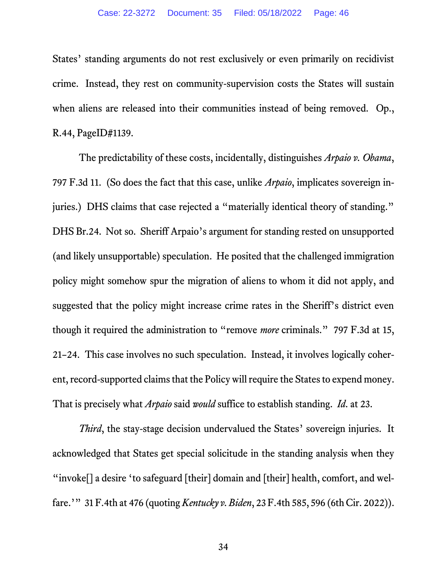States' standing arguments do not rest exclusively or even primarily on recidivist crime. Instead, they rest on community-supervision costs the States will sustain when aliens are released into their communities instead of being removed. Op., R.44, PageID#1139.

The predictability of these costs, incidentally, distinguishes *Arpaio v. Obama*, 797 F.3d 11. (So does the fact that this case, unlike *Arpaio*, implicates sovereign injuries.) DHS claims that case rejected a "materially identical theory of standing." DHS Br.24. Not so. Sheriff Arpaio's argument for standing rested on unsupported (and likely unsupportable) speculation. He posited that the challenged immigration policy might somehow spur the migration of aliens to whom it did not apply, and suggested that the policy might increase crime rates in the Sheriff's district even though it required the administration to "remove *more* criminals." 797 F.3d at 15, 21–24. This case involves no such speculation. Instead, it involves logically coherent, record-supported claims that the Policy will require the States to expend money. That is precisely what *Arpaio* said *would* suffice to establish standing. *Id*. at 23.

*Third*, the stay-stage decision undervalued the States' sovereign injuries. It acknowledged that States get special solicitude in the standing analysis when they "invoke[] a desire 'to safeguard [their] domain and [their] health, comfort, and welfare.'" 31 F.4th at 476 (quoting *Kentucky v. Biden*, 23 F.4th 585, 596 (6th Cir. 2022)).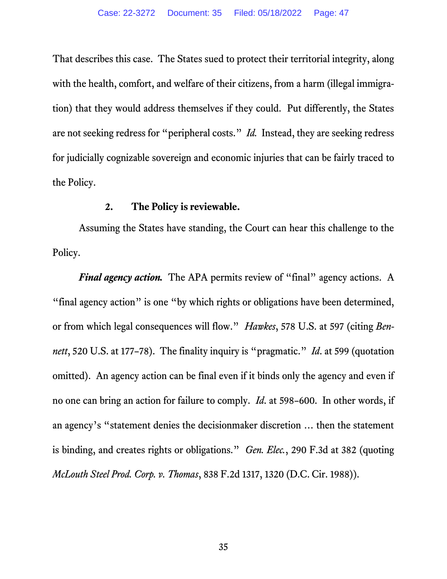That describes this case. The States sued to protect their territorial integrity, along with the health, comfort, and welfare of their citizens, from a harm (illegal immigration) that they would address themselves if they could. Put differently, the States are not seeking redress for "peripheral costs." *Id.* Instead, they are seeking redress for judicially cognizable sovereign and economic injuries that can be fairly traced to the Policy.

#### **2. The Policy is reviewable.**

Assuming the States have standing, the Court can hear this challenge to the Policy.

*Final agency action.* The APA permits review of "final" agency actions. A "final agency action" is one "by which rights or obligations have been determined, or from which legal consequences will flow." *Hawkes*, 578 U.S. at 597 (citing *Bennett*, 520 U.S. at 177–78). The finality inquiry is "pragmatic." *Id*. at 599 (quotation omitted). An agency action can be final even if it binds only the agency and even if no one can bring an action for failure to comply. *Id*. at 598–600. In other words, if an agency's "statement denies the decisionmaker discretion … then the statement is binding, and creates rights or obligations." *Gen. Elec.*, 290 F.3d at 382 (quoting *McLouth Steel Prod. Corp. v. Thomas*, 838 F.2d 1317, 1320 (D.C. Cir. 1988)).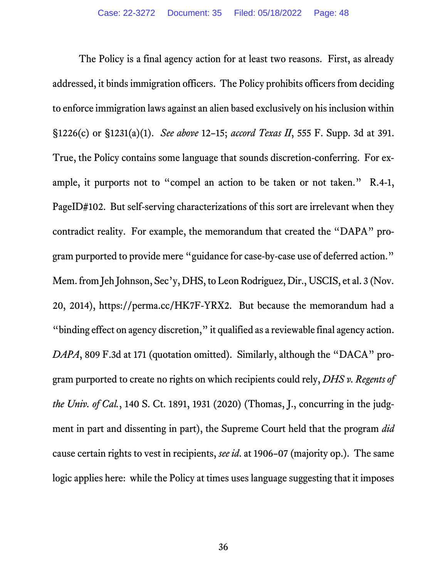The Policy is a final agency action for at least two reasons. First, as already addressed, it binds immigration officers. The Policy prohibits officers from deciding to enforce immigration laws against an alien based exclusively on his inclusion within §1226(c) or §1231(a)(1). *See above* 12–15; *accord Texas II*, 555 F. Supp. 3d at 391. True, the Policy contains some language that sounds discretion-conferring. For example, it purports not to "compel an action to be taken or not taken." R.4-1, PageID#102. But self-serving characterizations of this sort are irrelevant when they contradict reality. For example, the memorandum that created the "DAPA" program purported to provide mere "guidance for case-by-case use of deferred action." Mem. from Jeh Johnson, Sec'y, DHS, to Leon Rodriguez, Dir., USCIS, et al. 3 (Nov. 20, 2014), https://perma.cc/HK7F-YRX2. But because the memorandum had a "binding effect on agency discretion," it qualified as a reviewable final agency action. *DAPA*, 809 F.3d at 171 (quotation omitted). Similarly, although the "DACA" program purported to create no rights on which recipients could rely, *DHS v. Regents of the Univ. of Cal.*, 140 S. Ct. 1891, 1931 (2020) (Thomas, J., concurring in the judgment in part and dissenting in part), the Supreme Court held that the program *did*  cause certain rights to vest in recipients, *see id*. at 1906–07 (majority op.). The same logic applies here: while the Policy at times uses language suggesting that it imposes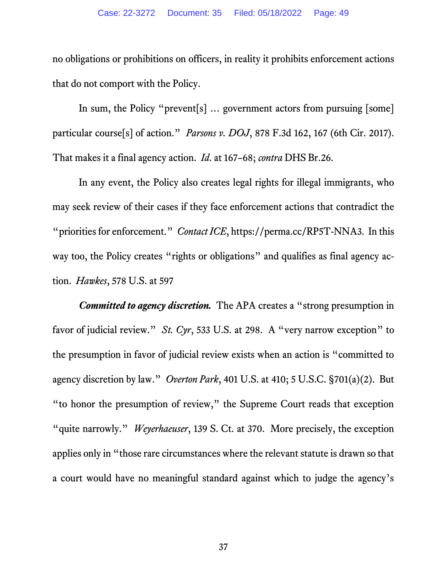no obligations or prohibitions on officers, in reality it prohibits enforcement actions that do not comport with the Policy.

In sum, the Policy "prevent[s] … government actors from pursuing [some] particular course[s] of action." *Parsons v. DOJ*, 878 F.3d 162, 167 (6th Cir. 2017). That makes it a final agency action. *Id*. at 167–68; *contra* DHS Br.26.

In any event, the Policy also creates legal rights for illegal immigrants, who may seek review of their cases if they face enforcement actions that contradict the "priorities for enforcement." *Contact ICE*, https://perma.cc/RP5T-NNA3. In this way too, the Policy creates "rights or obligations" and qualifies as final agency action. *Hawkes*, 578 U.S. at 597

*Committed to agency discretion.* The APA creates a "strong presumption in favor of judicial review." *St. Cyr*, 533 U.S. at 298. A "very narrow exception" to the presumption in favor of judicial review exists when an action is "committed to agency discretion by law." *Overton Park*, 401 U.S. at 410; 5 U.S.C. §701(a)(2). But "to honor the presumption of review," the Supreme Court reads that exception "quite narrowly." *Weyerhaeuser*, 139 S. Ct. at 370. More precisely, the exception applies only in "those rare circumstances where the relevant statute is drawn so that a court would have no meaningful standard against which to judge the agency's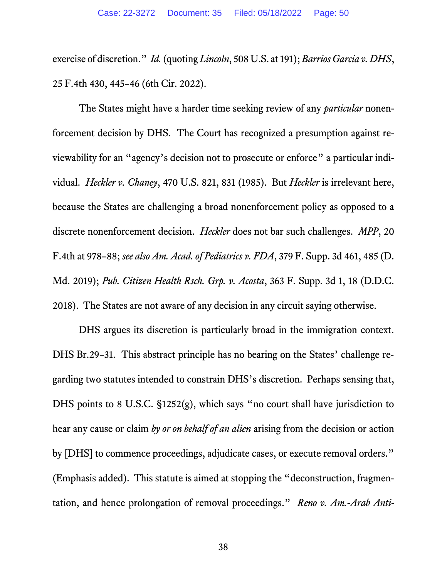exercise of discretion." *Id.*(quoting *Lincoln*, 508 U.S. at 191); *Barrios Garcia v. DHS*, 25 F.4th 430, 445–46 (6th Cir. 2022).

The States might have a harder time seeking review of any *particular* nonenforcement decision by DHS. The Court has recognized a presumption against reviewability for an "agency's decision not to prosecute or enforce" a particular individual. *Heckler v. Chaney*, 470 U.S. 821, 831 (1985). But *Heckler* is irrelevant here, because the States are challenging a broad nonenforcement policy as opposed to a discrete nonenforcement decision. *Heckler* does not bar such challenges. *MPP*, 20 F.4th at 978–88; *see also Am. Acad. of Pediatrics v. FDA*, 379 F. Supp. 3d 461, 485 (D. Md. 2019); *Pub. Citizen Health Rsch. Grp. v. Acosta*, 363 F. Supp. 3d 1, 18 (D.D.C. 2018). The States are not aware of any decision in any circuit saying otherwise.

DHS argues its discretion is particularly broad in the immigration context. DHS Br.29–31. This abstract principle has no bearing on the States' challenge regarding two statutes intended to constrain DHS's discretion. Perhaps sensing that, DHS points to 8 U.S.C. §1252(g), which says "no court shall have jurisdiction to hear any cause or claim *by or on behalf of an alien* arising from the decision or action by [DHS] to commence proceedings, adjudicate cases, or execute removal orders." (Emphasis added). This statute is aimed at stopping the "deconstruction, fragmentation, and hence prolongation of removal proceedings." *Reno v. Am.-Arab Anti-*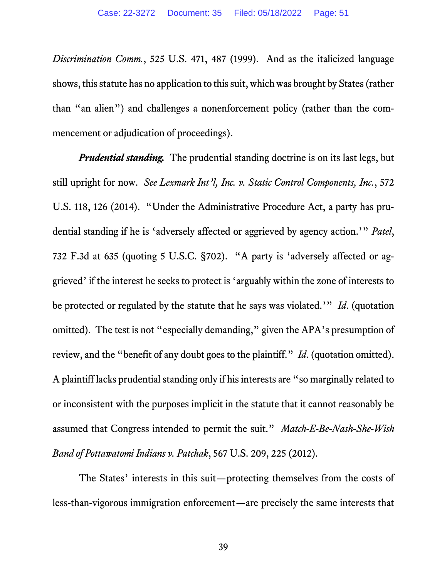*Discrimination Comm.*, 525 U.S. 471, 487 (1999). And as the italicized language shows, this statute has no application to this suit, which was brought by States (rather than "an alien") and challenges a nonenforcement policy (rather than the commencement or adjudication of proceedings).

*Prudential standing.* The prudential standing doctrine is on its last legs, but still upright for now. *See Lexmark Int'l, Inc. v. Static Control Components, Inc.*, 572 U.S. 118, 126 (2014). "Under the Administrative Procedure Act, a party has prudential standing if he is 'adversely affected or aggrieved by agency action.'" *Patel*, 732 F.3d at 635 (quoting 5 U.S.C. §702). "A party is 'adversely affected or aggrieved' if the interest he seeks to protect is 'arguably within the zone of interests to be protected or regulated by the statute that he says was violated.'" *Id*. (quotation omitted). The test is not "especially demanding," given the APA's presumption of review, and the "benefit of any doubt goes to the plaintiff." *Id*. (quotation omitted). A plaintiff lacks prudential standing only if his interests are "so marginally related to or inconsistent with the purposes implicit in the statute that it cannot reasonably be assumed that Congress intended to permit the suit." *Match-E-Be-Nash-She-Wish Band of Pottawatomi Indians v. Patchak*, 567 U.S. 209, 225 (2012).

The States' interests in this suit—protecting themselves from the costs of less-than-vigorous immigration enforcement—are precisely the same interests that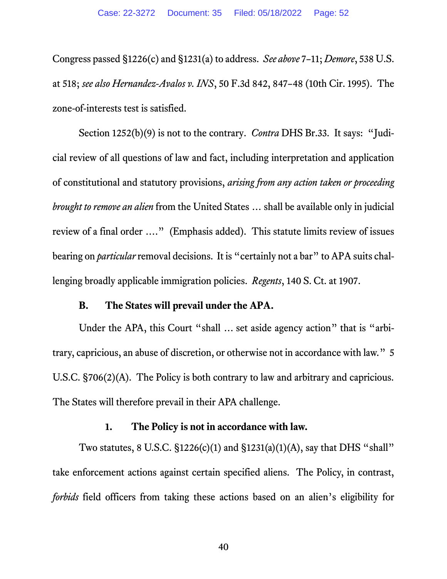Congress passed §1226(c) and §1231(a) to address. *See above* 7–11; *Demore*, 538 U.S. at 518; *see also Hernandez-Avalos v. INS*, 50 F.3d 842, 847–48 (10th Cir. 1995). The zone-of-interests test is satisfied.

Section 1252(b)(9) is not to the contrary. *Contra* DHS Br.33. It says: "Judicial review of all questions of law and fact, including interpretation and application of constitutional and statutory provisions, *arising from any action taken or proceeding brought to remove an alien* from the United States … shall be available only in judicial review of a final order …." (Emphasis added). This statute limits review of issues bearing on *particular* removal decisions. It is "certainly not a bar" to APA suits challenging broadly applicable immigration policies. *Regents*, 140 S. Ct. at 1907.

## **B. The States will prevail under the APA.**

Under the APA, this Court "shall ... set aside agency action" that is "arbitrary, capricious, an abuse of discretion, or otherwise not in accordance with law." 5 U.S.C. §706(2)(A). The Policy is both contrary to law and arbitrary and capricious. The States will therefore prevail in their APA challenge.

#### **1. The Policy is not in accordance with law.**

Two statutes, 8 U.S.C. §1226(c)(1) and §1231(a)(1)(A), say that DHS "shall" take enforcement actions against certain specified aliens. The Policy, in contrast, *forbids* field officers from taking these actions based on an alien's eligibility for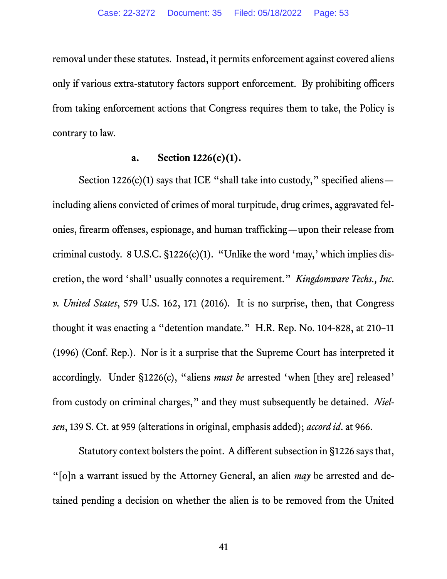removal under these statutes. Instead, it permits enforcement against covered aliens only if various extra-statutory factors support enforcement. By prohibiting officers from taking enforcement actions that Congress requires them to take, the Policy is contrary to law.

## **a. Section 1226(c)(1).**

Section 1226(c)(1) says that ICE "shall take into custody," specified aliens including aliens convicted of crimes of moral turpitude, drug crimes, aggravated felonies, firearm offenses, espionage, and human trafficking—upon their release from criminal custody. 8 U.S.C. §1226(c)(1). "Unlike the word 'may,' which implies discretion, the word 'shall' usually connotes a requirement." *Kingdomware Techs., Inc. v. United States*, 579 U.S. 162, 171 (2016). It is no surprise, then, that Congress thought it was enacting a "detention mandate." H.R. Rep. No. 104-828, at 210–11 (1996) (Conf. Rep.). Nor is it a surprise that the Supreme Court has interpreted it accordingly. Under §1226(c), "aliens *must be* arrested 'when [they are] released' from custody on criminal charges," and they must subsequently be detained. *Nielsen*, 139 S. Ct. at 959 (alterations in original, emphasis added); *accord id*. at 966.

Statutory context bolsters the point. A different subsection in §1226 says that, "[o]n a warrant issued by the Attorney General, an alien *may* be arrested and detained pending a decision on whether the alien is to be removed from the United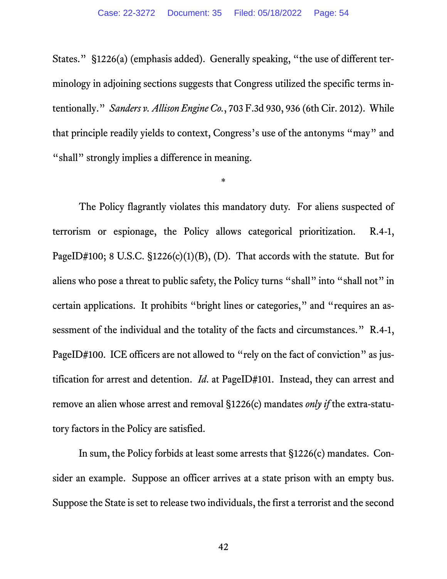States." §1226(a) (emphasis added). Generally speaking, "the use of different terminology in adjoining sections suggests that Congress utilized the specific terms intentionally." *Sanders v. Allison Engine Co.*, 703 F.3d 930, 936 (6th Cir. 2012). While that principle readily yields to context, Congress's use of the antonyms "may" and "shall" strongly implies a difference in meaning.

\*

The Policy flagrantly violates this mandatory duty. For aliens suspected of terrorism or espionage, the Policy allows categorical prioritization. R.4-1, PageID#100; 8 U.S.C.  $\S$ 1226(c)(1)(B), (D). That accords with the statute. But for aliens who pose a threat to public safety, the Policy turns "shall" into "shall not" in certain applications. It prohibits "bright lines or categories," and "requires an assessment of the individual and the totality of the facts and circumstances." R.4-1, PageID#100. ICE officers are not allowed to "rely on the fact of conviction" as justification for arrest and detention. *Id*. at PageID#101. Instead, they can arrest and remove an alien whose arrest and removal §1226(c) mandates *only if* the extra-statutory factors in the Policy are satisfied.

In sum, the Policy forbids at least some arrests that §1226(c) mandates. Consider an example. Suppose an officer arrives at a state prison with an empty bus. Suppose the State is set to release two individuals, the first a terrorist and the second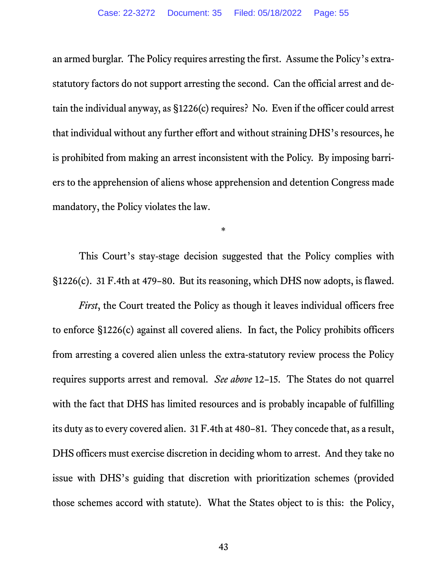an armed burglar. The Policy requires arresting the first. Assume the Policy's extrastatutory factors do not support arresting the second. Can the official arrest and detain the individual anyway, as §1226(c) requires? No. Even if the officer could arrest that individual without any further effort and without straining DHS's resources, he is prohibited from making an arrest inconsistent with the Policy. By imposing barriers to the apprehension of aliens whose apprehension and detention Congress made mandatory, the Policy violates the law.

This Court's stay-stage decision suggested that the Policy complies with §1226(c). 31 F.4th at 479–80. But its reasoning, which DHS now adopts, is flawed.

\*

*First*, the Court treated the Policy as though it leaves individual officers free to enforce §1226(c) against all covered aliens. In fact, the Policy prohibits officers from arresting a covered alien unless the extra-statutory review process the Policy requires supports arrest and removal. *See above* 12–15. The States do not quarrel with the fact that DHS has limited resources and is probably incapable of fulfilling its duty as to every covered alien. 31 F.4th at 480–81. They concede that, as a result, DHS officers must exercise discretion in deciding whom to arrest. And they take no issue with DHS's guiding that discretion with prioritization schemes (provided those schemes accord with statute). What the States object to is this: the Policy,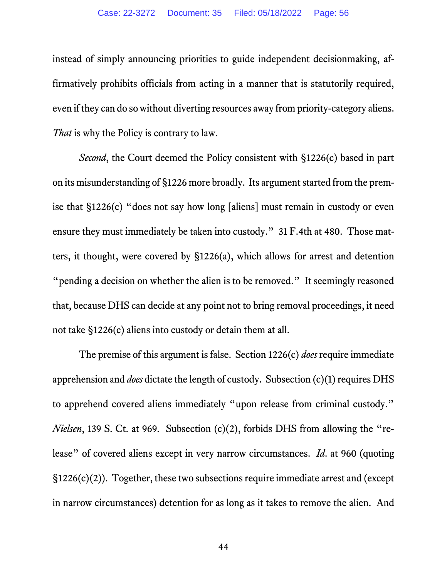instead of simply announcing priorities to guide independent decisionmaking, affirmatively prohibits officials from acting in a manner that is statutorily required, even if they can do so without diverting resources away from priority-category aliens. *That* is why the Policy is contrary to law.

*Second*, the Court deemed the Policy consistent with §1226(c) based in part on its misunderstanding of §1226 more broadly. Its argument started from the premise that §1226(c) "does not say how long [aliens] must remain in custody or even ensure they must immediately be taken into custody." 31 F.4th at 480. Those matters, it thought, were covered by §1226(a), which allows for arrest and detention "pending a decision on whether the alien is to be removed." It seemingly reasoned that, because DHS can decide at any point not to bring removal proceedings, it need not take §1226(c) aliens into custody or detain them at all.

The premise of this argument is false. Section 1226(c) *does* require immediate apprehension and *does* dictate the length of custody. Subsection (c)(1) requires DHS to apprehend covered aliens immediately "upon release from criminal custody." *Nielsen*, 139 S. Ct. at 969. Subsection (c)(2), forbids DHS from allowing the "release" of covered aliens except in very narrow circumstances. *Id*. at 960 (quoting  $\S1226(c)(2)$ ). Together, these two subsections require immediate arrest and (except in narrow circumstances) detention for as long as it takes to remove the alien. And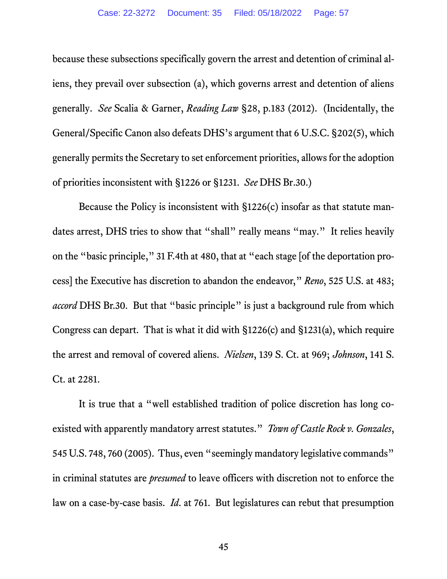because these subsections specifically govern the arrest and detention of criminal aliens, they prevail over subsection (a), which governs arrest and detention of aliens generally. *See* Scalia & Garner, *Reading Law* §28, p.183 (2012). (Incidentally, the General/Specific Canon also defeats DHS's argument that 6 U.S.C. §202(5), which generally permits the Secretary to set enforcement priorities, allows for the adoption of priorities inconsistent with §1226 or §1231. *See* DHS Br.30.)

Because the Policy is inconsistent with §1226(c) insofar as that statute mandates arrest, DHS tries to show that "shall" really means "may." It relies heavily on the "basic principle," 31 F.4th at 480, that at "each stage [of the deportation process] the Executive has discretion to abandon the endeavor," *Reno*, 525 U.S. at 483; *accord* DHS Br.30. But that "basic principle" is just a background rule from which Congress can depart. That is what it did with §1226(c) and §1231(a), which require the arrest and removal of covered aliens. *Nielsen*, 139 S. Ct. at 969; *Johnson*, 141 S. Ct. at 2281.

It is true that a "well established tradition of police discretion has long coexisted with apparently mandatory arrest statutes." *Town of Castle Rock v. Gonzales*, 545 U.S. 748, 760 (2005). Thus, even "seemingly mandatory legislative commands" in criminal statutes are *presumed* to leave officers with discretion not to enforce the law on a case-by-case basis. *Id*. at 761. But legislatures can rebut that presumption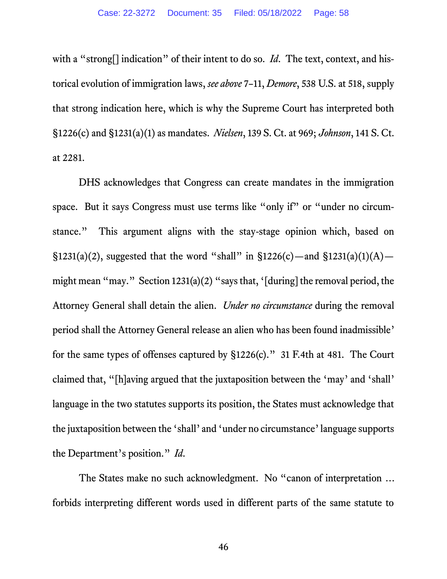with a "strong<sup>[]</sup> indication" of their intent to do so. *Id*. The text, context, and historical evolution of immigration laws, *see above* 7–11, *Demore*, 538 U.S. at 518, supply that strong indication here, which is why the Supreme Court has interpreted both §1226(c) and §1231(a)(1) as mandates. *Nielsen*, 139 S. Ct. at 969; *Johnson*, 141 S. Ct. at 2281.

DHS acknowledges that Congress can create mandates in the immigration space. But it says Congress must use terms like "only if" or "under no circumstance." This argument aligns with the stay-stage opinion which, based on §1231(a)(2), suggested that the word "shall" in §1226(c)—and §1231(a)(1)(A) might mean "may." Section 1231(a)(2) "says that, '[during] the removal period, the Attorney General shall detain the alien. *Under no circumstance* during the removal period shall the Attorney General release an alien who has been found inadmissible' for the same types of offenses captured by §1226(c)." 31 F.4th at 481. The Court claimed that, "[h]aving argued that the juxtaposition between the 'may' and 'shall' language in the two statutes supports its position, the States must acknowledge that the juxtaposition between the 'shall' and 'under no circumstance' language supports the Department's position." *Id*.

The States make no such acknowledgment. No "canon of interpretation … forbids interpreting different words used in different parts of the same statute to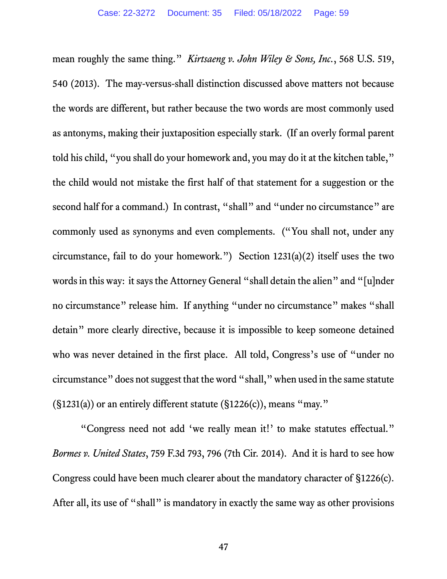mean roughly the same thing." *Kirtsaeng v. John Wiley & Sons, Inc.*, 568 U.S. 519, 540 (2013). The may-versus-shall distinction discussed above matters not because the words are different, but rather because the two words are most commonly used as antonyms, making their juxtaposition especially stark. (If an overly formal parent told his child, "you shall do your homework and, you may do it at the kitchen table," the child would not mistake the first half of that statement for a suggestion or the second half for a command.) In contrast, "shall" and "under no circumstance" are commonly used as synonyms and even complements. ("You shall not, under any circumstance, fail to do your homework.") Section 1231(a)(2) itself uses the two words in this way: it says the Attorney General "shall detain the alien" and "[u]nder no circumstance" release him. If anything "under no circumstance" makes "shall detain" more clearly directive, because it is impossible to keep someone detained who was never detained in the first place. All told, Congress's use of "under no circumstance" does not suggest that the word "shall," when used in the same statute  $(S1231(a))$  or an entirely different statute  $(S1226(c))$ , means "may."

"Congress need not add 'we really mean it!' to make statutes effectual." *Bormes v. United States*, 759 F.3d 793, 796 (7th Cir. 2014). And it is hard to see how Congress could have been much clearer about the mandatory character of §1226(c). After all, its use of "shall" is mandatory in exactly the same way as other provisions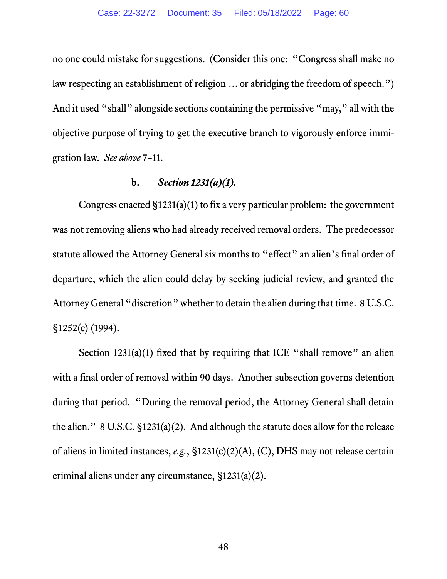no one could mistake for suggestions. (Consider this one: "Congress shall make no law respecting an establishment of religion … or abridging the freedom of speech.") And it used "shall" alongside sections containing the permissive "may," all with the objective purpose of trying to get the executive branch to vigorously enforce immigration law. *See above* 7–11.

## **b.** *Section 1231(a)(1).*

Congress enacted §1231(a)(1) to fix a very particular problem: the government was not removing aliens who had already received removal orders. The predecessor statute allowed the Attorney General six months to "effect" an alien's final order of departure, which the alien could delay by seeking judicial review, and granted the Attorney General "discretion" whether to detain the alien during that time. 8 U.S.C. §1252(c) (1994).

Section  $1231(a)(1)$  fixed that by requiring that ICE "shall remove" an alien with a final order of removal within 90 days. Another subsection governs detention during that period. "During the removal period, the Attorney General shall detain the alien." 8 U.S.C. §1231(a)(2). And although the statute does allow for the release of aliens in limited instances, *e.g.*, §1231(c)(2)(A), (C), DHS may not release certain criminal aliens under any circumstance, §1231(a)(2).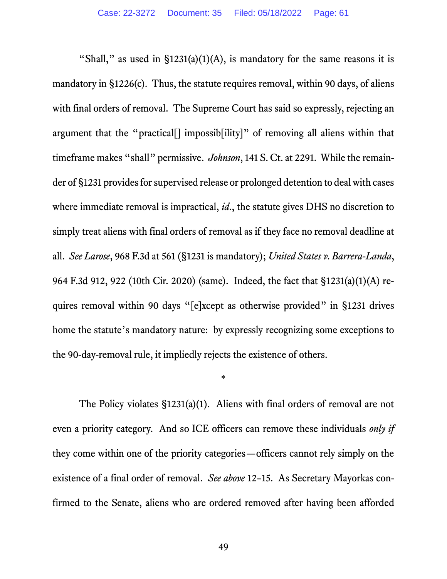"Shall," as used in  $\S$ 1231(a)(1)(A), is mandatory for the same reasons it is mandatory in §1226(c). Thus, the statute requires removal, within 90 days, of aliens with final orders of removal. The Supreme Court has said so expressly, rejecting an argument that the "practical[] impossib[ility]" of removing all aliens within that timeframe makes "shall" permissive. *Johnson*, 141 S. Ct. at 2291. While the remainder of §1231 provides for supervised release or prolonged detention to deal with cases where immediate removal is impractical, *id*., the statute gives DHS no discretion to simply treat aliens with final orders of removal as if they face no removal deadline at all. *See Larose*, 968 F.3d at 561 (§1231 is mandatory); *United States v. Barrera-Landa*, 964 F.3d 912, 922 (10th Cir. 2020) (same). Indeed, the fact that §1231(a)(1)(A) requires removal within 90 days "[e]xcept as otherwise provided" in §1231 drives home the statute's mandatory nature: by expressly recognizing some exceptions to the 90-day-removal rule, it impliedly rejects the existence of others.

\*

The Policy violates §1231(a)(1). Aliens with final orders of removal are not even a priority category. And so ICE officers can remove these individuals *only if*  they come within one of the priority categories—officers cannot rely simply on the existence of a final order of removal. *See above* 12–15. As Secretary Mayorkas confirmed to the Senate, aliens who are ordered removed after having been afforded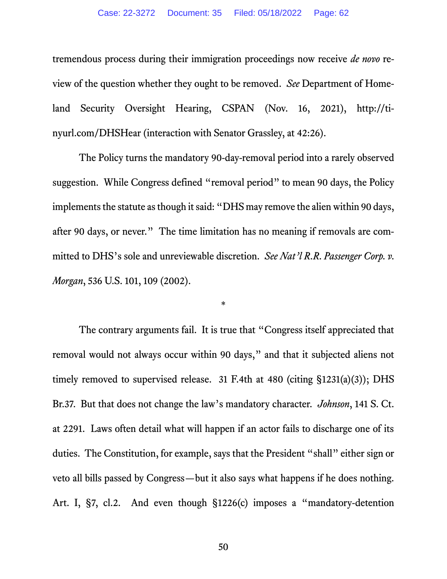tremendous process during their immigration proceedings now receive *de novo* review of the question whether they ought to be removed. *See* Department of Homeland Security Oversight Hearing, CSPAN (Nov. 16, 2021), http://tinyurl.com/DHSHear (interaction with Senator Grassley, at 42:26).

The Policy turns the mandatory 90-day-removal period into a rarely observed suggestion. While Congress defined "removal period" to mean 90 days, the Policy implements the statute as though it said: "DHS may remove the alien within 90 days, after 90 days, or never." The time limitation has no meaning if removals are committed to DHS's sole and unreviewable discretion. *See Nat'l R.R. Passenger Corp. v. Morgan*, 536 U.S. 101, 109 (2002).

\*

The contrary arguments fail. It is true that "Congress itself appreciated that removal would not always occur within 90 days," and that it subjected aliens not timely removed to supervised release. 31 F.4th at 480 (citing §1231(a)(3)); DHS Br.37. But that does not change the law's mandatory character. *Johnson*, 141 S. Ct. at 2291. Laws often detail what will happen if an actor fails to discharge one of its duties. The Constitution, for example, says that the President "shall" either sign or veto all bills passed by Congress—but it also says what happens if he does nothing. Art. I, §7, cl.2. And even though §1226(c) imposes a "mandatory-detention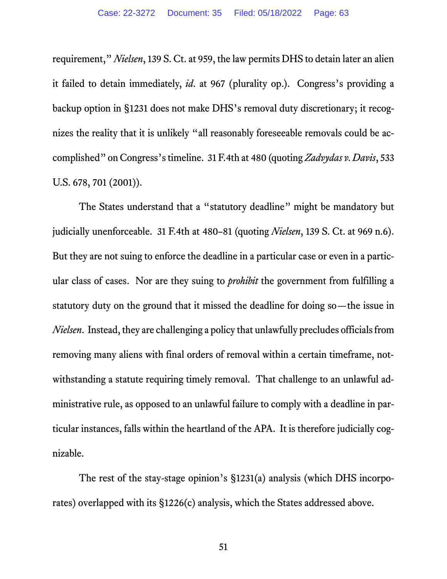requirement," *Nielsen*, 139 S. Ct. at 959, the law permits DHS to detain later an alien it failed to detain immediately, *id*. at 967 (plurality op.). Congress's providing a backup option in §1231 does not make DHS's removal duty discretionary; it recognizes the reality that it is unlikely "all reasonably foreseeable removals could be accomplished" on Congress's timeline. 31 F.4th at 480 (quoting *Zadvydas v. Davis*, 533 U.S. 678, 701 (2001)).

The States understand that a "statutory deadline" might be mandatory but judicially unenforceable. 31 F.4th at 480–81 (quoting *Nielsen*, 139 S. Ct. at 969 n.6). But they are not suing to enforce the deadline in a particular case or even in a particular class of cases. Nor are they suing to *prohibit* the government from fulfilling a statutory duty on the ground that it missed the deadline for doing so—the issue in *Nielsen*. Instead, they are challenging a policy that unlawfully precludes officials from removing many aliens with final orders of removal within a certain timeframe, notwithstanding a statute requiring timely removal. That challenge to an unlawful administrative rule, as opposed to an unlawful failure to comply with a deadline in particular instances, falls within the heartland of the APA. It is therefore judicially cognizable.

The rest of the stay-stage opinion's §1231(a) analysis (which DHS incorporates) overlapped with its §1226(c) analysis, which the States addressed above.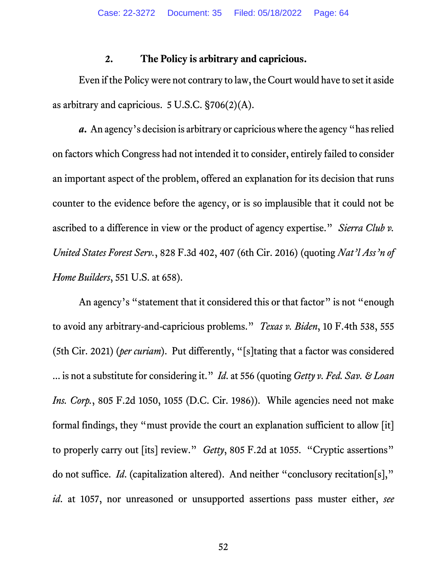## **2. The Policy is arbitrary and capricious.**

Even if the Policywere not contrary to law, the Court would have to set it aside as arbitrary and capricious. 5 U.S.C. §706(2)(A).

*a***.** An agency's decision is arbitrary or capricious where the agency "has relied on factors which Congress had not intended it to consider, entirely failed to consider an important aspect of the problem, offered an explanation for its decision that runs counter to the evidence before the agency, or is so implausible that it could not be ascribed to a difference in view or the product of agency expertise." *Sierra Club v. United States Forest Serv.*, 828 F.3d 402, 407 (6th Cir. 2016) (quoting *Nat'l Ass'n of Home Builders*, 551 U.S. at 658).

An agency's "statement that it considered this or that factor" is not "enough to avoid any arbitrary-and-capricious problems." *Texas v. Biden*, 10 F.4th 538, 555 (5th Cir. 2021) (*per curiam*). Put differently, "[s]tating that a factor was considered ... is not a substitute for considering it." *Id*. at 556 (quoting *Getty v. Fed. Sav. & Loan Ins. Corp.*, 805 F.2d 1050, 1055 (D.C. Cir. 1986)). While agencies need not make formal findings, they "must provide the court an explanation sufficient to allow [it] to properly carry out [its] review." *Getty*, 805 F.2d at 1055. "Cryptic assertions" do not suffice. *Id*. (capitalization altered). And neither "conclusory recitation[s]," *id*. at 1057, nor unreasoned or unsupported assertions pass muster either, *see*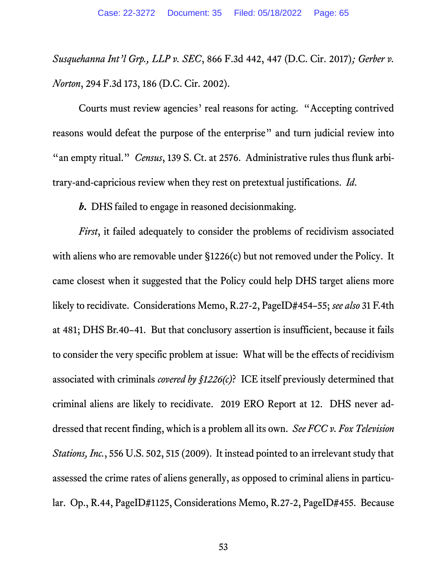*Susquehanna Int'l Grp., LLP v. SEC*, 866 F.3d 442, 447 (D.C. Cir. 2017)*; Gerber v. Norton*, 294 F.3d 173, 186 (D.C. Cir. 2002).

Courts must review agencies' real reasons for acting. "Accepting contrived reasons would defeat the purpose of the enterprise" and turn judicial review into "an empty ritual." *Census*, 139 S. Ct. at 2576. Administrative rules thus flunk arbitrary-and-capricious review when they rest on pretextual justifications. *Id*.

*b***.** DHS failed to engage in reasoned decisionmaking.

*First*, it failed adequately to consider the problems of recidivism associated with aliens who are removable under §1226(c) but not removed under the Policy. It came closest when it suggested that the Policy could help DHS target aliens more likely to recidivate. Considerations Memo, R.27-2, PageID#454–55; *see also* 31 F.4th at 481; DHS Br.40–41. But that conclusory assertion is insufficient, because it fails to consider the very specific problem at issue: What will be the effects of recidivism associated with criminals *covered by §1226(c)*? ICE itself previously determined that criminal aliens are likely to recidivate. 2019 ERO Report at 12. DHS never addressed that recent finding, which is a problem all its own. *See FCC v. Fox Television Stations, Inc.*, 556 U.S. 502, 515 (2009). It instead pointed to an irrelevant study that assessed the crime rates of aliens generally, as opposed to criminal aliens in particular. Op., R.44, PageID#1125, Considerations Memo, R.27-2, PageID#455. Because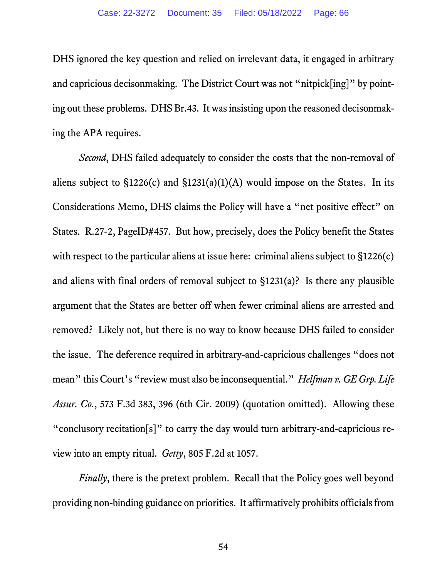DHS ignored the key question and relied on irrelevant data, it engaged in arbitrary and capricious decisonmaking. The District Court was not "nitpick[ing]" by pointing out these problems. DHS Br.43. It was insisting upon the reasoned decisonmaking the APA requires.

*Second*, DHS failed adequately to consider the costs that the non-removal of aliens subject to  $\S 1226(c)$  and  $\S 1231(a)(1)(A)$  would impose on the States. In its Considerations Memo, DHS claims the Policy will have a "net positive effect" on States. R.27-2, PageID#457. But how, precisely, does the Policy benefit the States with respect to the particular aliens at issue here: criminal aliens subject to  $\S 1226(c)$ and aliens with final orders of removal subject to §1231(a)? Is there any plausible argument that the States are better off when fewer criminal aliens are arrested and removed? Likely not, but there is no way to know because DHS failed to consider the issue. The deference required in arbitrary-and-capricious challenges "does not mean" this Court's "review must also be inconsequential." *Helfman v. GE Grp. Life Assur. Co.*, 573 F.3d 383, 396 (6th Cir. 2009) (quotation omitted). Allowing these "conclusory recitation[s]" to carry the day would turn arbitrary-and-capricious review into an empty ritual. *Getty*, 805 F.2d at 1057.

*Finally*, there is the pretext problem. Recall that the Policy goes well beyond providing non-binding guidance on priorities. It affirmatively prohibits officials from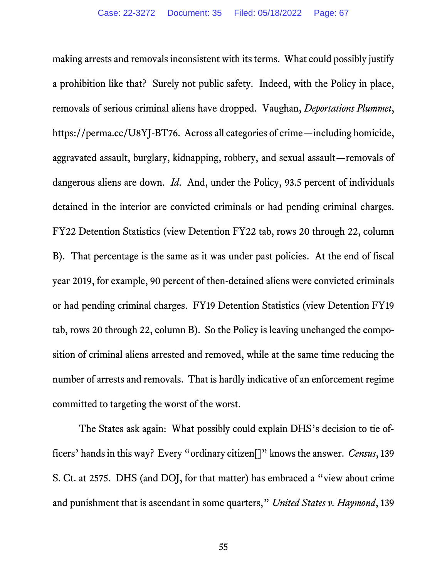making arrests and removals inconsistent with its terms. What could possibly justify a prohibition like that? Surely not public safety. Indeed, with the Policy in place, removals of serious criminal aliens have dropped. Vaughan, *Deportations Plummet*, https://perma.cc/U8YJ-BT76. Across all categories of crime—including homicide, aggravated assault, burglary, kidnapping, robbery, and sexual assault—removals of dangerous aliens are down. *Id*. And, under the Policy, 93.5 percent of individuals detained in the interior are convicted criminals or had pending criminal charges. FY22 Detention Statistics (view Detention FY22 tab, rows 20 through 22, column B). That percentage is the same as it was under past policies. At the end of fiscal year 2019, for example, 90 percent of then-detained aliens were convicted criminals or had pending criminal charges. FY19 Detention Statistics (view Detention FY19 tab, rows 20 through 22, column B). So the Policy is leaving unchanged the composition of criminal aliens arrested and removed, while at the same time reducing the number of arrests and removals. That is hardly indicative of an enforcement regime committed to targeting the worst of the worst.

The States ask again: What possibly could explain DHS's decision to tie officers' hands in this way? Every "ordinary citizen[]" knows the answer. *Census*, 139 S. Ct. at 2575. DHS (and DOJ, for that matter) has embraced a "view about crime and punishment that is ascendant in some quarters," *United States v. Haymond*, 139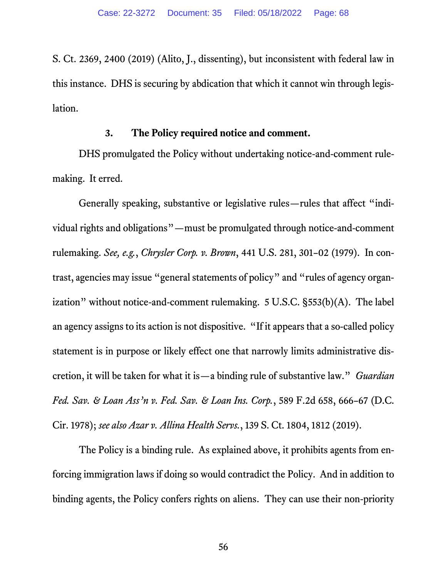S. Ct. 2369, 2400 (2019) (Alito, J., dissenting), but inconsistent with federal law in this instance. DHS is securing by abdication that which it cannot win through legislation.

# **3. The Policy required notice and comment.**

DHS promulgated the Policy without undertaking notice-and-comment rulemaking. It erred.

Generally speaking, substantive or legislative rules—rules that affect "individual rights and obligations"—must be promulgated through notice-and-comment rulemaking. *See, e.g.*, *Chrysler Corp. v. Brown*, 441 U.S. 281, 301–02 (1979). In contrast, agencies may issue "general statements of policy" and "rules of agency organization" without notice-and-comment rulemaking. 5 U.S.C. §553(b)(A). The label an agency assigns to its action is not dispositive. "If it appears that a so-called policy statement is in purpose or likely effect one that narrowly limits administrative discretion, it will be taken for what it is—a binding rule of substantive law." *Guardian Fed. Sav. & Loan Ass'n v. Fed. Sav. & Loan Ins. Corp.*, 589 F.2d 658, 666–67 (D.C. Cir. 1978); *see also Azar v. Allina Health Servs.*, 139 S. Ct. 1804, 1812 (2019).

The Policy is a binding rule. As explained above, it prohibits agents from enforcing immigration laws if doing so would contradict the Policy. And in addition to binding agents, the Policy confers rights on aliens. They can use their non-priority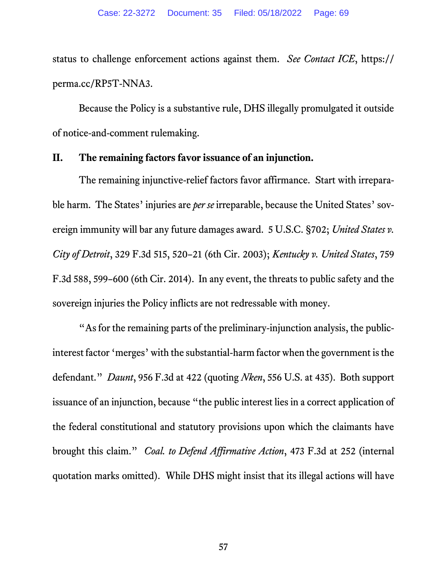status to challenge enforcement actions against them. *See Contact ICE*, https:// perma.cc/RP5T-NNA3.

Because the Policy is a substantive rule, DHS illegally promulgated it outside of notice-and-comment rulemaking.

## **II. The remaining factors favor issuance of an injunction.**

The remaining injunctive-relief factors favor affirmance. Start with irreparable harm. The States' injuries are *per se* irreparable, because the United States' sovereign immunity will bar any future damages award. 5 U.S.C. §702; *United States v. City of Detroit*, 329 F.3d 515, 520–21 (6th Cir. 2003); *Kentucky v. United States*, 759 F.3d 588, 599–600 (6th Cir. 2014). In any event, the threats to public safety and the sovereign injuries the Policy inflicts are not redressable with money.

"As for the remaining parts of the preliminary-injunction analysis, the publicinterest factor 'merges' with the substantial-harm factor when the government is the defendant." *Daunt*, 956 F.3d at 422 (quoting *Nken*, 556 U.S. at 435). Both support issuance of an injunction, because "the public interest lies in a correct application of the federal constitutional and statutory provisions upon which the claimants have brought this claim." *Coal. to Defend Affirmative Action*, 473 F.3d at 252 (internal quotation marks omitted). While DHS might insist that its illegal actions will have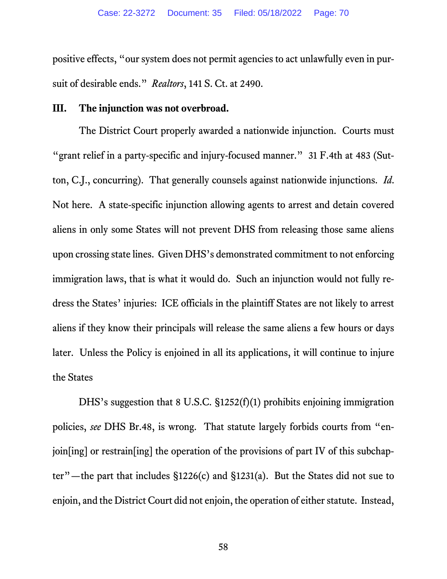positive effects, "our system does not permit agencies to act unlawfully even in pursuit of desirable ends." *Realtors*, 141 S. Ct. at 2490.

#### **III. The injunction was not overbroad.**

The District Court properly awarded a nationwide injunction. Courts must "grant relief in a party-specific and injury-focused manner." 31 F.4th at 483 (Sutton, C.J., concurring). That generally counsels against nationwide injunctions. *Id*. Not here. A state-specific injunction allowing agents to arrest and detain covered aliens in only some States will not prevent DHS from releasing those same aliens upon crossing state lines. Given DHS's demonstrated commitment to not enforcing immigration laws, that is what it would do. Such an injunction would not fully redress the States' injuries: ICE officials in the plaintiff States are not likely to arrest aliens if they know their principals will release the same aliens a few hours or days later. Unless the Policy is enjoined in all its applications, it will continue to injure the States

DHS's suggestion that 8 U.S.C. §1252(f)(1) prohibits enjoining immigration policies, *see* DHS Br.48, is wrong. That statute largely forbids courts from "enjoin[ing] or restrain[ing] the operation of the provisions of part IV of this subchapter"—the part that includes §1226(c) and §1231(a). But the States did not sue to enjoin, and the District Court did not enjoin, the operation of either statute. Instead,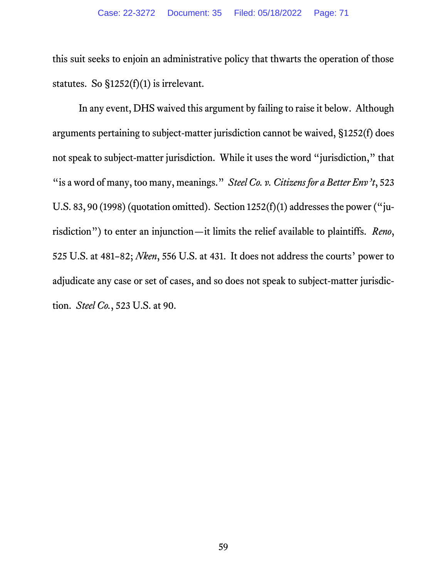this suit seeks to enjoin an administrative policy that thwarts the operation of those statutes. So  $\S$ 1252(f)(1) is irrelevant.

In any event, DHS waived this argument by failing to raise it below. Although arguments pertaining to subject-matter jurisdiction cannot be waived, §1252(f) does not speak to subject-matter jurisdiction. While it uses the word "jurisdiction," that "is a word of many, too many, meanings." *Steel Co. v. Citizens for a Better Env't*, 523 U.S. 83, 90 (1998) (quotation omitted). Section  $1252(f)(1)$  addresses the power ("jurisdiction") to enter an injunction—it limits the relief available to plaintiffs. *Reno*, 525 U.S. at 481–82; *Nken*, 556 U.S. at 431. It does not address the courts' power to adjudicate any case or set of cases, and so does not speak to subject-matter jurisdiction. *Steel Co.*, 523 U.S. at 90.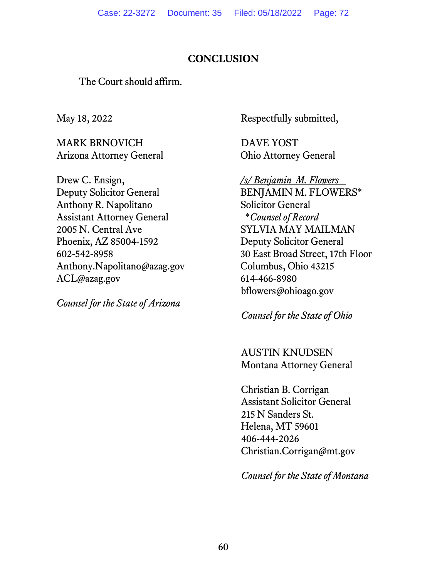# **CONCLUSION**

The Court should affirm.

May 18, 2022

MARK BRNOVICH Arizona Attorney General

Drew C. Ensign, Deputy Solicitor General Anthony R. Napolitano Assistant Attorney General 2005 N. Central Ave Phoenix, AZ 85004-1592 602-542-8958 Anthony.Napolitano@azag.gov ACL@azag.gov

*Counsel for the State of Arizona*

Respectfully submitted,

DAVE YOST Ohio Attorney General

*/s/ Benjamin M. Flowers* BENJAMIN M. FLOWERS\* Solicitor General \**Counsel of Record* SYLVIA MAY MAILMAN Deputy Solicitor General 30 East Broad Street, 17th Floor Columbus, Ohio 43215 614-466-8980 bflowers@ohioago.gov

*Counsel for the State of Ohio*

AUSTIN KNUDSEN Montana Attorney General

Christian B. Corrigan Assistant Solicitor General 215 N Sanders St. Helena, MT 59601 406-444-2026 Christian.Corrigan@mt.gov

*Counsel for the State of Montana*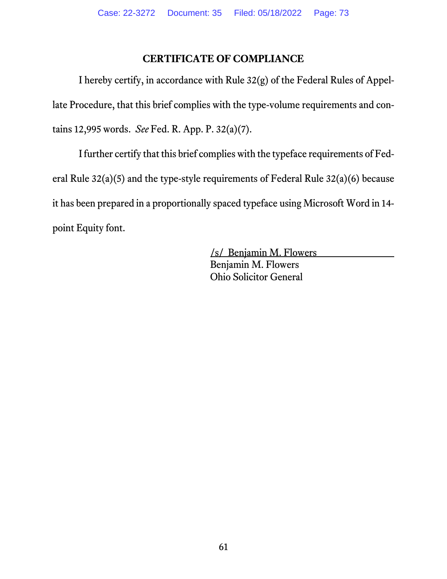## **CERTIFICATE OF COMPLIANCE**

I hereby certify, in accordance with Rule 32(g) of the Federal Rules of Appellate Procedure, that this brief complies with the type-volume requirements and contains 12,995 words. *See* Fed. R. App. P. 32(a)(7).

I further certify that this brief complies with the typeface requirements of Federal Rule 32(a)(5) and the type-style requirements of Federal Rule 32(a)(6) because it has been prepared in a proportionally spaced typeface using Microsoft Word in 14 point Equity font.

> /s/ Benjamin M. Flowers Benjamin M. Flowers Ohio Solicitor General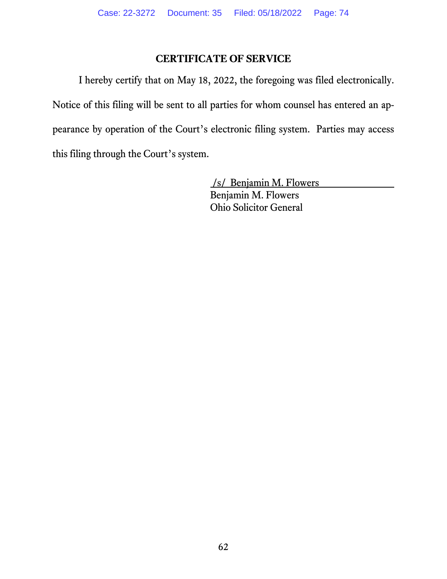## **CERTIFICATE OF SERVICE**

I hereby certify that on May 18, 2022, the foregoing was filed electronically. Notice of this filing will be sent to all parties for whom counsel has entered an appearance by operation of the Court's electronic filing system. Parties may access this filing through the Court's system.

> /s/ Benjamin M. Flowers Benjamin M. Flowers Ohio Solicitor General